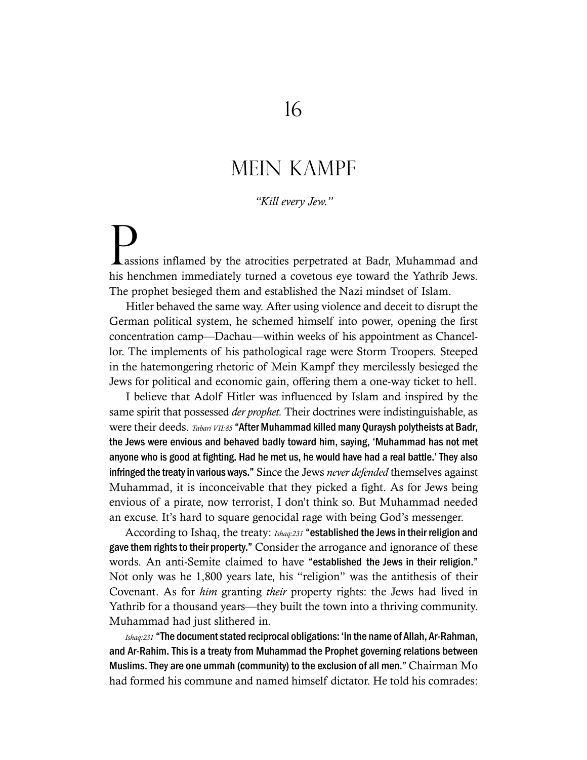# MEIN KAMPF

*"Kill every Jew."*

**L**assions inflamed by the atrocities perpetrated at Badr, Muhammad and his henchmen immediately turned a covetous eye toward the Yathrib Jews. The prophet besieged them and established the Nazi mindset of Islam.

Hitler behaved the same way. After using violence and deceit to disrupt the German political system, he schemed himself into power, opening the first concentration camp—Dachau—within weeks of his appointment as Chancellor. The implements of his pathological rage were Storm Troopers. Steeped in the hatemongering rhetoric of Mein Kampf they mercilessly besieged the Jews for political and economic gain, offering them a one-way ticket to hell.

I believe that Adolf Hitler was influenced by Islam and inspired by the same spirit that possessed *der prophet.* Their doctrines were indistinguishable, as were their deeds. *Tabari VII:85* "After Muhammad killed many Quraysh polytheists at Badr, the Jews were envious and behaved badly toward him, saying, 'Muhammad has not met anyone who is good at fighting. Had he met us, he would have had a real battle.' They also infringed the treaty in various ways." Since the Jews *never defended* themselves against Muhammad, it is inconceivable that they picked a fight. As for Jews being envious of a pirate, now terrorist, I don't think so. But Muhammad needed an excuse. It's hard to square genocidal rage with being God's messenger.

According to Ishaq, the treaty: *Ishaq:231* "established the Jews in their religion and gave them rights to their property." Consider the arrogance and ignorance of these words. An anti-Semite claimed to have "established the Jews in their religion." Not only was he 1,800 years late, his "religion" was the antithesis of their Covenant. As for *him* granting *their* property rights: the Jews had lived in Yathrib for a thousand years—they built the town into a thriving community. Muhammad had just slithered in.

*Ishaq:231* "The document stated reciprocal obligations: 'In the name of Allah, Ar-Rahman, and Ar-Rahim. This is a treaty from Muhammad the Prophet governing relations between Muslims. They are one ummah (community) to the exclusion of all men." Chairman Mo had formed his commune and named himself dictator. He told his comrades: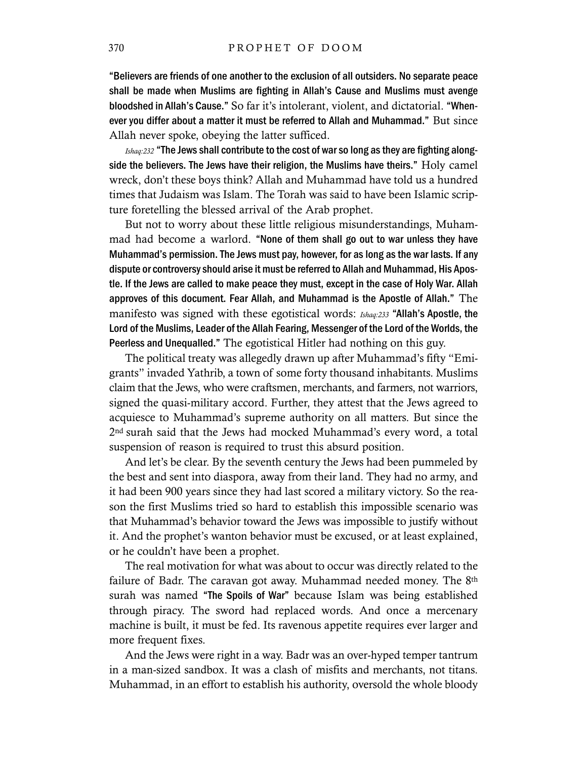"Believers are friends of one another to the exclusion of all outsiders. No separate peace shall be made when Muslims are fighting in Allah's Cause and Muslims must avenge bloodshed in Allah's Cause." So far it's intolerant, violent, and dictatorial. "Whenever you differ about a matter it must be referred to Allah and Muhammad." But since Allah never spoke, obeying the latter sufficed.

*Ishaq:232* "The Jews shall contribute to the cost of war so long as they are fighting alongside the believers. The Jews have their religion, the Muslims have theirs." Holy camel wreck, don't these boys think? Allah and Muhammad have told us a hundred times that Judaism was Islam. The Torah was said to have been Islamic scripture foretelling the blessed arrival of the Arab prophet.

But not to worry about these little religious misunderstandings, Muhammad had become a warlord. "None of them shall go out to war unless they have Muhammad's permission. The Jews must pay, however, for as long as the war lasts. If any dispute or controversy should arise it must be referred to Allah and Muhammad, His Apostle. If the Jews are called to make peace they must, except in the case of Holy War. Allah approves of this document. Fear Allah, and Muhammad is the Apostle of Allah." The manifesto was signed with these egotistical words: *Ishaq:233* "Allah's Apostle, the Lord of the Muslims, Leader of the Allah Fearing, Messenger of the Lord of the Worlds, the Peerless and Unequalled." The egotistical Hitler had nothing on this guy.

The political treaty was allegedly drawn up after Muhammad's fifty "Emigrants" invaded Yathrib, a town of some forty thousand inhabitants. Muslims claim that the Jews, who were craftsmen, merchants, and farmers, not warriors, signed the quasi-military accord. Further, they attest that the Jews agreed to acquiesce to Muhammad's supreme authority on all matters. But since the 2nd surah said that the Jews had mocked Muhammad's every word, a total suspension of reason is required to trust this absurd position.

And let's be clear. By the seventh century the Jews had been pummeled by the best and sent into diaspora, away from their land. They had no army, and it had been 900 years since they had last scored a military victory. So the reason the first Muslims tried so hard to establish this impossible scenario was that Muhammad's behavior toward the Jews was impossible to justify without it. And the prophet's wanton behavior must be excused, or at least explained, or he couldn't have been a prophet.

The real motivation for what was about to occur was directly related to the failure of Badr. The caravan got away. Muhammad needed money. The 8<sup>th</sup> surah was named "The Spoils of War" because Islam was being established through piracy. The sword had replaced words. And once a mercenary machine is built, it must be fed. Its ravenous appetite requires ever larger and more frequent fixes.

And the Jews were right in a way. Badr was an over-hyped temper tantrum in a man-sized sandbox. It was a clash of misfits and merchants, not titans. Muhammad, in an effort to establish his authority, oversold the whole bloody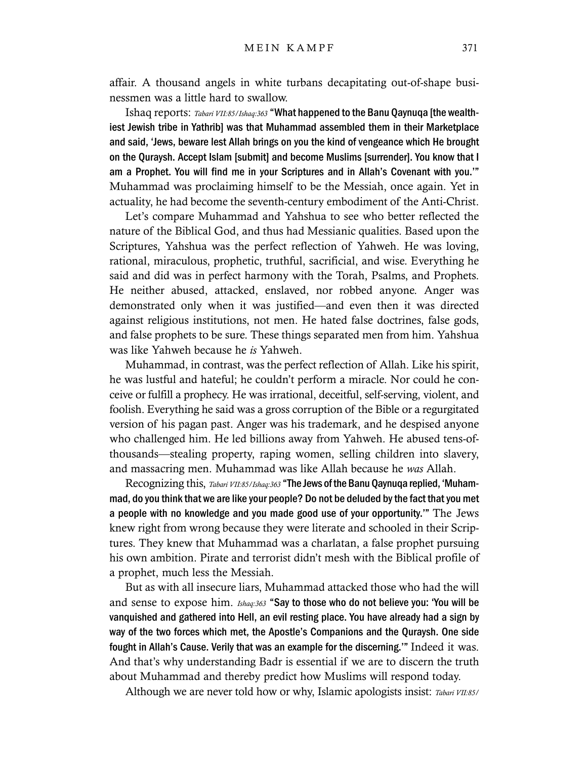affair. A thousand angels in white turbans decapitating out-of-shape businessmen was a little hard to swallow.

Ishaq reports: *Tabari VII:85/Ishaq:363* "What happened to the Banu Qaynuqa [the wealthiest Jewish tribe in Yathrib] was that Muhammad assembled them in their Marketplace and said, 'Jews, beware lest Allah brings on you the kind of vengeance which He brought on the Quraysh. Accept Islam [submit] and become Muslims [surrender]. You know that I am a Prophet. You will find me in your Scriptures and in Allah's Covenant with you.'" Muhammad was proclaiming himself to be the Messiah, once again. Yet in actuality, he had become the seventh-century embodiment of the Anti-Christ.

Let's compare Muhammad and Yahshua to see who better reflected the nature of the Biblical God, and thus had Messianic qualities. Based upon the Scriptures, Yahshua was the perfect reflection of Yahweh. He was loving, rational, miraculous, prophetic, truthful, sacrificial, and wise. Everything he said and did was in perfect harmony with the Torah, Psalms, and Prophets. He neither abused, attacked, enslaved, nor robbed anyone. Anger was demonstrated only when it was justified—and even then it was directed against religious institutions, not men. He hated false doctrines, false gods, and false prophets to be sure. These things separated men from him. Yahshua was like Yahweh because he *is* Yahweh.

Muhammad, in contrast, was the perfect reflection of Allah. Like his spirit, he was lustful and hateful; he couldn't perform a miracle. Nor could he conceive or fulfill a prophecy. He was irrational, deceitful, self-serving, violent, and foolish. Everything he said was a gross corruption of the Bible or a regurgitated version of his pagan past. Anger was his trademark, and he despised anyone who challenged him. He led billions away from Yahweh. He abused tens-ofthousands—stealing property, raping women, selling children into slavery, and massacring men. Muhammad was like Allah because he *was* Allah.

Recognizing this, *Tabari VII:85/Ishaq:363* "The Jews of the Banu Qaynuqa replied, 'Muhammad, do you think that we are like your people? Do not be deluded by the fact that you met a people with no knowledge and you made good use of your opportunity.'" The Jews knew right from wrong because they were literate and schooled in their Scriptures. They knew that Muhammad was a charlatan, a false prophet pursuing his own ambition. Pirate and terrorist didn't mesh with the Biblical profile of a prophet, much less the Messiah.

But as with all insecure liars, Muhammad attacked those who had the will and sense to expose him. *Ishaq:363* "Say to those who do not believe you: 'You will be vanquished and gathered into Hell, an evil resting place. You have already had a sign by way of the two forces which met, the Apostle's Companions and the Quraysh. One side fought in Allah's Cause. Verily that was an example for the discerning.'" Indeed it was. And that's why understanding Badr is essential if we are to discern the truth about Muhammad and thereby predict how Muslims will respond today.

Although we are never told how or why, Islamic apologists insist: *Tabari VII:85/*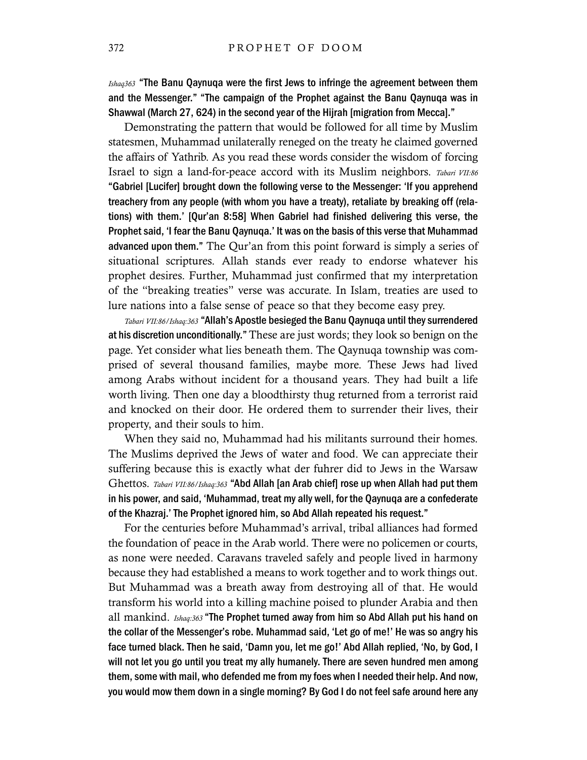*Ishaq363* "The Banu Qaynuqa were the first Jews to infringe the agreement between them and the Messenger." "The campaign of the Prophet against the Banu Qaynuqa was in Shawwal (March 27, 624) in the second year of the Hijrah [migration from Mecca]."

Demonstrating the pattern that would be followed for all time by Muslim statesmen, Muhammad unilaterally reneged on the treaty he claimed governed the affairs of Yathrib. As you read these words consider the wisdom of forcing Israel to sign a land-for-peace accord with its Muslim neighbors. *Tabari VII:86* "Gabriel [Lucifer] brought down the following verse to the Messenger: 'If you apprehend treachery from any people (with whom you have a treaty), retaliate by breaking off (relations) with them.' [Qur'an 8:58] When Gabriel had finished delivering this verse, the Prophet said, 'I fear the Banu Qaynuqa.' It was on the basis of this verse that Muhammad advanced upon them." The Qur'an from this point forward is simply a series of situational scriptures. Allah stands ever ready to endorse whatever his prophet desires. Further, Muhammad just confirmed that my interpretation of the "breaking treaties" verse was accurate. In Islam, treaties are used to lure nations into a false sense of peace so that they become easy prey.

*Tabari VII:86/Ishaq:363* "Allah's Apostle besieged the Banu Qaynuqa until they surrendered at his discretion unconditionally." These are just words; they look so benign on the page. Yet consider what lies beneath them. The Qaynuqa township was comprised of several thousand families, maybe more. These Jews had lived among Arabs without incident for a thousand years. They had built a life worth living. Then one day a bloodthirsty thug returned from a terrorist raid and knocked on their door. He ordered them to surrender their lives, their property, and their souls to him.

When they said no, Muhammad had his militants surround their homes. The Muslims deprived the Jews of water and food. We can appreciate their suffering because this is exactly what der fuhrer did to Jews in the Warsaw Ghettos. *Tabari VII:86/Ishaq:363* "Abd Allah [an Arab chief] rose up when Allah had put them in his power, and said, 'Muhammad, treat my ally well, for the Qaynuqa are a confederate of the Khazraj.' The Prophet ignored him, so Abd Allah repeated his request."

For the centuries before Muhammad's arrival, tribal alliances had formed the foundation of peace in the Arab world. There were no policemen or courts, as none were needed. Caravans traveled safely and people lived in harmony because they had established a means to work together and to work things out. But Muhammad was a breath away from destroying all of that. He would transform his world into a killing machine poised to plunder Arabia and then all mankind. *Ishaq:363* "The Prophet turned away from him so Abd Allah put his hand on the collar of the Messenger's robe. Muhammad said, 'Let go of me!' He was so angry his face turned black. Then he said, 'Damn you, let me go!' Abd Allah replied, 'No, by God, I will not let you go until you treat my ally humanely. There are seven hundred men among them, some with mail, who defended me from my foes when I needed their help. And now, you would mow them down in a single morning? By God I do not feel safe around here any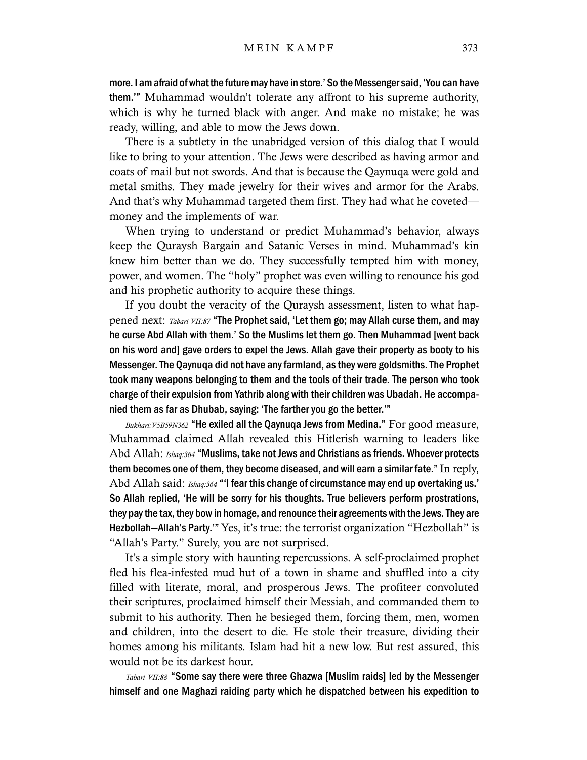more. I am afraid of what the future may have in store.' So the Messengersaid, 'You can have them.'" Muhammad wouldn't tolerate any affront to his supreme authority, which is why he turned black with anger. And make no mistake; he was ready, willing, and able to mow the Jews down.

There is a subtlety in the unabridged version of this dialog that I would like to bring to your attention. The Jews were described as having armor and coats of mail but not swords. And that is because the Qaynuqa were gold and metal smiths. They made jewelry for their wives and armor for the Arabs. And that's why Muhammad targeted them first. They had what he coveted money and the implements of war.

When trying to understand or predict Muhammad's behavior, always keep the Quraysh Bargain and Satanic Verses in mind. Muhammad's kin knew him better than we do. They successfully tempted him with money, power, and women. The "holy" prophet was even willing to renounce his god and his prophetic authority to acquire these things.

If you doubt the veracity of the Quraysh assessment, listen to what happened next: *Tabari VII:87* "The Prophet said, 'Let them go; may Allah curse them, and may he curse Abd Allah with them.' So the Muslims let them go. Then Muhammad [went back on his word and] gave orders to expel the Jews. Allah gave their property as booty to his Messenger. The Qaynuqa did not have any farmland, as they were goldsmiths. The Prophet took many weapons belonging to them and the tools of their trade. The person who took charge of their expulsion from Yathrib along with their children was Ubadah. He accompanied them as far as Dhubab, saying: 'The farther you go the better.'"

*Bukhari:V5B59N362* "He exiled all the Qaynuqa Jews from Medina." For good measure, Muhammad claimed Allah revealed this Hitlerish warning to leaders like Abd Allah: *Ishaq:364* "Muslims, take not Jews and Christians as friends. Whoever protects them becomes one of them, they become diseased, and will earn a similar fate." In reply, Abd Allah said: *Ishaq:364* "'I fear this change of circumstance may end up overtaking us.' So Allah replied, 'He will be sorry for his thoughts. True believers perform prostrations, they pay the tax, they bow in homage, and renounce their agreements with the Jews. They are Hezbollah—Allah's Party.'" Yes, it's true: the terrorist organization "Hezbollah" is "Allah's Party." Surely, you are not surprised.

It's a simple story with haunting repercussions. A self-proclaimed prophet fled his flea-infested mud hut of a town in shame and shuffled into a city filled with literate, moral, and prosperous Jews. The profiteer convoluted their scriptures, proclaimed himself their Messiah, and commanded them to submit to his authority. Then he besieged them, forcing them, men, women and children, into the desert to die. He stole their treasure, dividing their homes among his militants. Islam had hit a new low. But rest assured, this would not be its darkest hour.

*Tabari VII:88* "Some say there were three Ghazwa [Muslim raids] led by the Messenger himself and one Maghazi raiding party which he dispatched between his expedition to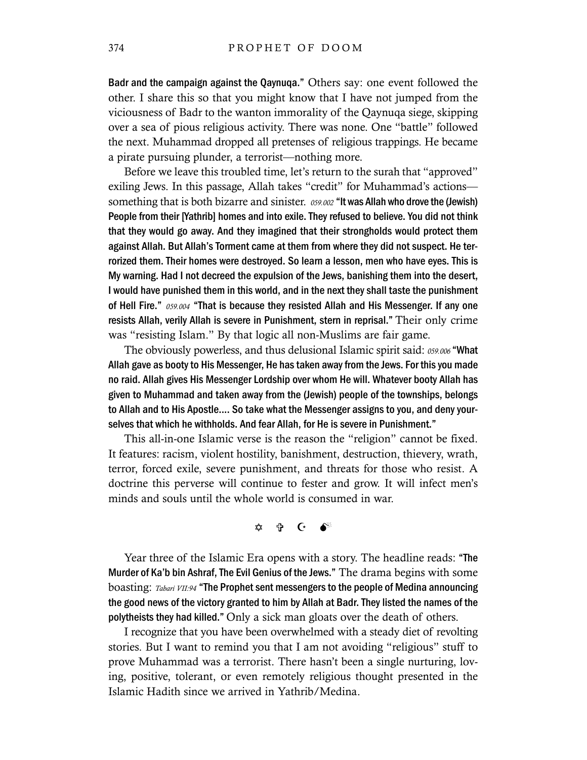Badr and the campaign against the Qaynuqa." Others say: one event followed the other. I share this so that you might know that I have not jumped from the viciousness of Badr to the wanton immorality of the Qaynuqa siege, skipping over a sea of pious religious activity. There was none. One "battle" followed the next. Muhammad dropped all pretenses of religious trappings. He became a pirate pursuing plunder, a terrorist—nothing more.

Before we leave this troubled time, let's return to the surah that "approved" exiling Jews. In this passage, Allah takes "credit" for Muhammad's actions something that is both bizarre and sinister. *059.002* "It was Allah who drove the (Jewish) People from their [Yathrib] homes and into exile. They refused to believe. You did not think that they would go away. And they imagined that their strongholds would protect them against Allah. But Allah's Torment came at them from where they did not suspect. He terrorized them. Their homes were destroyed. So learn a lesson, men who have eyes. This is My warning. Had I not decreed the expulsion of the Jews, banishing them into the desert, I would have punished them in this world, and in the next they shall taste the punishment of Hell Fire." *059.004* "That is because they resisted Allah and His Messenger. If any one resists Allah, verily Allah is severe in Punishment, stern in reprisal." Their only crime was "resisting Islam." By that logic all non-Muslims are fair game.

The obviously powerless, and thus delusional Islamic spirit said: *059.006* "What Allah gave as booty to His Messenger, He has taken away from the Jews. For this you made no raid. Allah gives His Messenger Lordship over whom He will. Whatever booty Allah has given to Muhammad and taken away from the (Jewish) people of the townships, belongs to Allah and to His Apostle.... So take what the Messenger assigns to you, and deny yourselves that which he withholds. And fear Allah, for He is severe in Punishment."

This all-in-one Islamic verse is the reason the "religion" cannot be fixed. It features: racism, violent hostility, banishment, destruction, thievery, wrath, terror, forced exile, severe punishment, and threats for those who resist. A doctrine this perverse will continue to fester and grow. It will infect men's minds and souls until the whole world is consumed in war.

@ = A 0

Year three of the Islamic Era opens with a story. The headline reads: "The Murder of Ka'b bin Ashraf, The Evil Genius of the Jews." The drama begins with some boasting: *Tabari VII:94* "The Prophet sent messengers to the people of Medina announcing the good news of the victory granted to him by Allah at Badr. They listed the names of the polytheists they had killed." Only a sick man gloats over the death of others.

I recognize that you have been overwhelmed with a steady diet of revolting stories. But I want to remind you that I am not avoiding "religious" stuff to prove Muhammad was a terrorist. There hasn't been a single nurturing, loving, positive, tolerant, or even remotely religious thought presented in the Islamic Hadith since we arrived in Yathrib/Medina.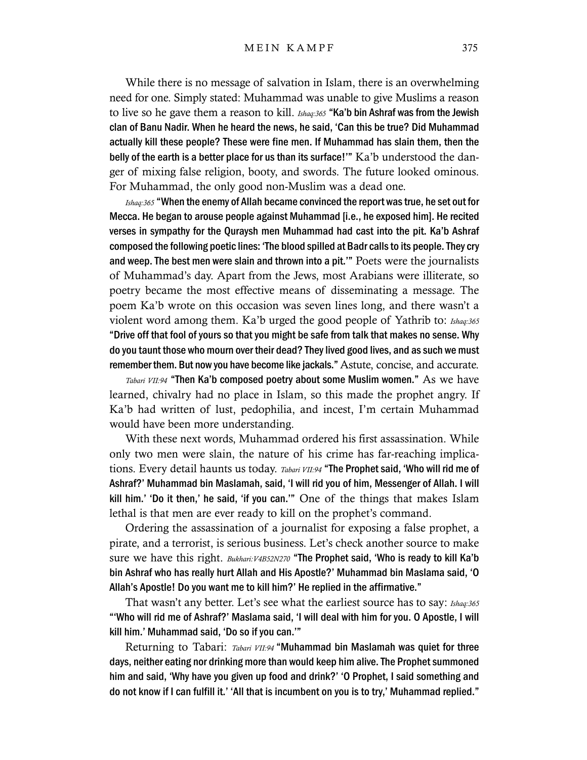MEIN KAMPF 375

While there is no message of salvation in Islam, there is an overwhelming need for one. Simply stated: Muhammad was unable to give Muslims a reason to live so he gave them a reason to kill. *Ishaq:365* "Ka'b bin Ashraf was from the Jewish clan of Banu Nadir. When he heard the news, he said, 'Can this be true? Did Muhammad actually kill these people? These were fine men. If Muhammad has slain them, then the belly of the earth is a better place for us than its surface!" Ka'b understood the danger of mixing false religion, booty, and swords. The future looked ominous. For Muhammad, the only good non-Muslim was a dead one.

*Ishaq:365* "When the enemy of Allah became convinced the report was true, he set out for Mecca. He began to arouse people against Muhammad [i.e., he exposed him]. He recited verses in sympathy for the Quraysh men Muhammad had cast into the pit. Ka'b Ashraf composed the following poetic lines: 'The blood spilled at Badr calls to its people. They cry and weep. The best men were slain and thrown into a pit.'" Poets were the journalists of Muhammad's day. Apart from the Jews, most Arabians were illiterate, so poetry became the most effective means of disseminating a message. The poem Ka'b wrote on this occasion was seven lines long, and there wasn't a violent word among them. Ka'b urged the good people of Yathrib to: *Ishaq:365* "Drive off that fool of yours so that you might be safe from talk that makes no sense. Why do you taunt those who mourn over their dead? They lived good lives, and as such we must remember them. But now you have become like jackals." Astute, concise, and accurate.

*Tabari VII:94* "Then Ka'b composed poetry about some Muslim women." As we have learned, chivalry had no place in Islam, so this made the prophet angry. If Ka'b had written of lust, pedophilia, and incest, I'm certain Muhammad would have been more understanding.

With these next words, Muhammad ordered his first assassination. While only two men were slain, the nature of his crime has far-reaching implications. Every detail haunts us today. *Tabari VII:94* "The Prophet said, 'Who will rid me of Ashraf?' Muhammad bin Maslamah, said, 'I will rid you of him, Messenger of Allah. I will kill him.' 'Do it then,' he said, 'if you can.'" One of the things that makes Islam lethal is that men are ever ready to kill on the prophet's command.

Ordering the assassination of a journalist for exposing a false prophet, a pirate, and a terrorist, is serious business. Let's check another source to make sure we have this right. *Bukhari:V4B52N270* "The Prophet said, 'Who is ready to kill Ka'b bin Ashraf who has really hurt Allah and His Apostle?' Muhammad bin Maslama said, 'O Allah's Apostle! Do you want me to kill him?' He replied in the affirmative."

That wasn't any better. Let's see what the earliest source has to say: *Ishaq:365* "'Who will rid me of Ashraf?' Maslama said, 'I will deal with him for you. O Apostle, I will kill him.' Muhammad said, 'Do so if you can.'"

Returning to Tabari: *Tabari VII:94* "Muhammad bin Maslamah was quiet for three days, neither eating nor drinking more than would keep him alive. The Prophet summoned him and said, 'Why have you given up food and drink?' 'O Prophet, I said something and do not know if I can fulfill it.' 'All that is incumbent on you is to try,' Muhammad replied."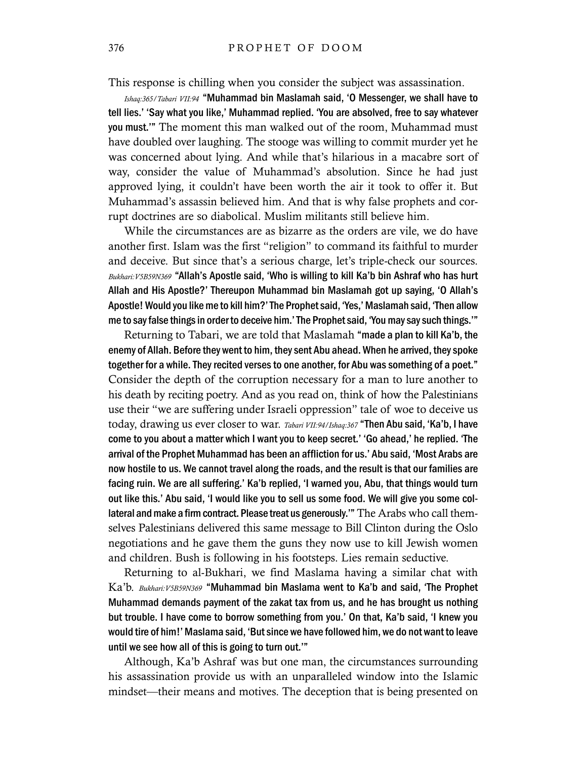This response is chilling when you consider the subject was assassination.

*Ishaq:365/Tabari VII:94* "Muhammad bin Maslamah said, 'O Messenger, we shall have to tell lies.' 'Say what you like,' Muhammad replied. 'You are absolved, free to say whatever you must.'" The moment this man walked out of the room, Muhammad must have doubled over laughing. The stooge was willing to commit murder yet he was concerned about lying. And while that's hilarious in a macabre sort of way, consider the value of Muhammad's absolution. Since he had just approved lying, it couldn't have been worth the air it took to offer it. But Muhammad's assassin believed him. And that is why false prophets and corrupt doctrines are so diabolical. Muslim militants still believe him.

While the circumstances are as bizarre as the orders are vile, we do have another first. Islam was the first "religion" to command its faithful to murder and deceive. But since that's a serious charge, let's triple-check our sources. *Bukhari:V5B59N369* "Allah's Apostle said, 'Who is willing to kill Ka'b bin Ashraf who has hurt Allah and His Apostle?' Thereupon Muhammad bin Maslamah got up saying, 'O Allah's Apostle! Would you like me to kill him?' The Prophet said, 'Yes,' Maslamah said, 'Then allow me to say false things in order to deceive him.' The Prophet said, 'You may say such things.'"

Returning to Tabari, we are told that Maslamah "made a plan to kill Ka'b, the enemy of Allah. Before they went to him, they sent Abu ahead. When he arrived, they spoke together for a while. They recited verses to one another, for Abu was something of a poet." Consider the depth of the corruption necessary for a man to lure another to his death by reciting poetry. And as you read on, think of how the Palestinians use their "we are suffering under Israeli oppression" tale of woe to deceive us today, drawing us ever closer to war. *Tabari VII:94/Ishaq:367* "Then Abu said, 'Ka'b, I have come to you about a matter which I want you to keep secret.' 'Go ahead,' he replied. 'The arrival of the Prophet Muhammad has been an affliction for us.' Abu said, 'Most Arabs are now hostile to us. We cannot travel along the roads, and the result is that our families are facing ruin. We are all suffering.' Ka'b replied, 'I warned you, Abu, that things would turn out like this.' Abu said, 'I would like you to sell us some food. We will give you some collateral and make a firm contract. Please treat us generously.'" The Arabs who call themselves Palestinians delivered this same message to Bill Clinton during the Oslo negotiations and he gave them the guns they now use to kill Jewish women and children. Bush is following in his footsteps. Lies remain seductive.

Returning to al-Bukhari, we find Maslama having a similar chat with Ka'b. *Bukhari:V5B59N369* "Muhammad bin Maslama went to Ka'b and said, 'The Prophet Muhammad demands payment of the zakat tax from us, and he has brought us nothing but trouble. I have come to borrow something from you.' On that, Ka'b said, 'I knew you would tire of him!' Maslama said, 'But since we have followed him, we do not want to leave until we see how all of this is going to turn out.'"

Although, Ka'b Ashraf was but one man, the circumstances surrounding his assassination provide us with an unparalleled window into the Islamic mindset—their means and motives. The deception that is being presented on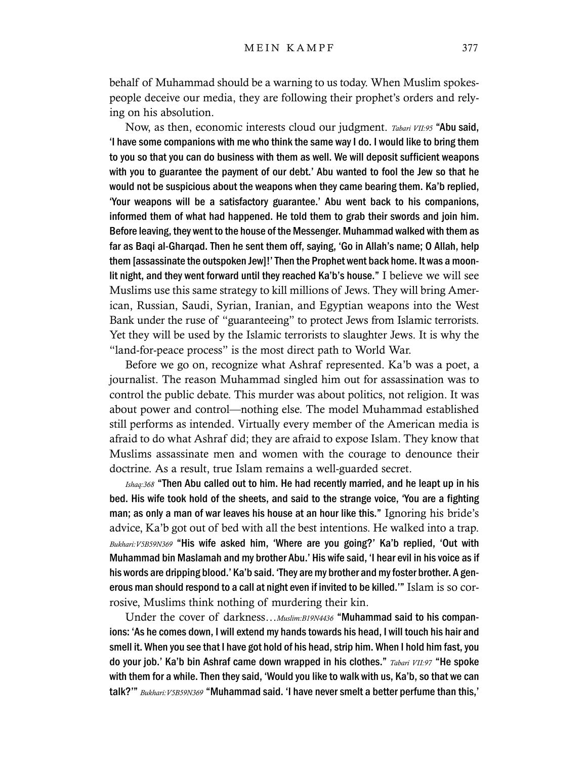behalf of Muhammad should be a warning to us today. When Muslim spokespeople deceive our media, they are following their prophet's orders and relying on his absolution.

Now, as then, economic interests cloud our judgment. *Tabari VII:95* "Abu said, 'I have some companions with me who think the same way I do. I would like to bring them to you so that you can do business with them as well. We will deposit sufficient weapons with you to guarantee the payment of our debt.' Abu wanted to fool the Jew so that he would not be suspicious about the weapons when they came bearing them. Ka'b replied, 'Your weapons will be a satisfactory guarantee.' Abu went back to his companions, informed them of what had happened. He told them to grab their swords and join him. Before leaving, they went to the house of the Messenger. Muhammad walked with them as far as Baqi al-Gharqad. Then he sent them off, saying, 'Go in Allah's name; O Allah, help them [assassinate the outspoken Jew]!' Then the Prophet went back home. It was a moonlit night, and they went forward until they reached Ka'b's house." I believe we will see Muslims use this same strategy to kill millions of Jews. They will bring American, Russian, Saudi, Syrian, Iranian, and Egyptian weapons into the West Bank under the ruse of "guaranteeing" to protect Jews from Islamic terrorists. Yet they will be used by the Islamic terrorists to slaughter Jews. It is why the "land-for-peace process" is the most direct path to World War.

Before we go on, recognize what Ashraf represented. Ka'b was a poet, a journalist. The reason Muhammad singled him out for assassination was to control the public debate. This murder was about politics, not religion. It was about power and control—nothing else. The model Muhammad established still performs as intended. Virtually every member of the American media is afraid to do what Ashraf did; they are afraid to expose Islam. They know that Muslims assassinate men and women with the courage to denounce their doctrine. As a result, true Islam remains a well-guarded secret.

*Ishaq:368* "Then Abu called out to him. He had recently married, and he leapt up in his bed. His wife took hold of the sheets, and said to the strange voice, 'You are a fighting man; as only a man of war leaves his house at an hour like this." Ignoring his bride's advice, Ka'b got out of bed with all the best intentions. He walked into a trap. *Bukhari:V5B59N369* "His wife asked him, 'Where are you going?' Ka'b replied, 'Out with Muhammad bin Maslamah and my brother Abu.' His wife said, 'I hear evil in his voice as if his words are dripping blood.' Ka'b said. 'They are my brother and my foster brother. A generous man should respond to a call at night even if invited to be killed.'" Islam is so corrosive, Muslims think nothing of murdering their kin.

Under the cover of darkness…*Muslim:B19N4436* "Muhammad said to his companions: 'As he comes down, I will extend my hands towards his head, I will touch his hair and smell it. When you see that I have got hold of his head, strip him. When I hold him fast, you do your job.' Ka'b bin Ashraf came down wrapped in his clothes." *Tabari VII:97* "He spoke with them for a while. Then they said, 'Would you like to walk with us, Ka'b, so that we can talk?" *Bukhari:V5B59N369* "Muhammad said. 'I have never smelt a better perfume than this,'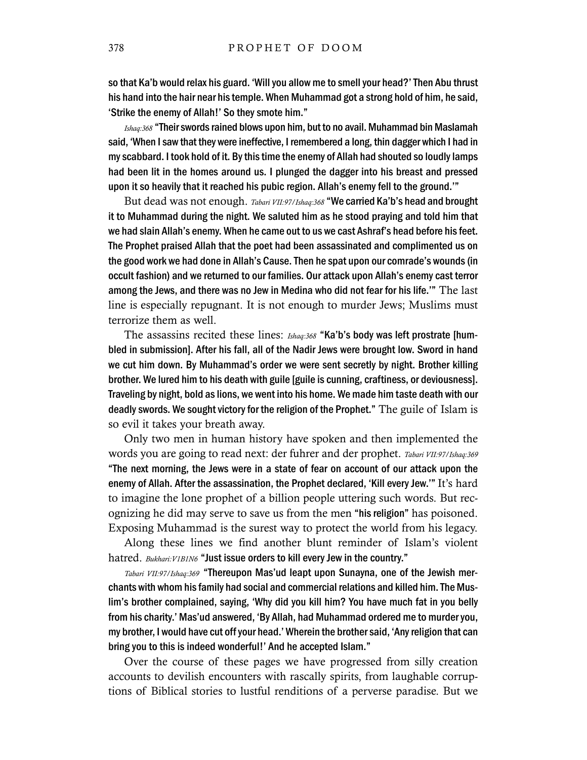so that Ka'b would relax his guard. 'Will you allow me to smell your head?' Then Abu thrust his hand into the hair near his temple. When Muhammad got a strong hold of him, he said, 'Strike the enemy of Allah!' So they smote him."

*Ishaq:368* "Their swords rained blows upon him, but to no avail. Muhammad bin Maslamah said, 'When I saw that they were ineffective, I remembered a long, thin dagger which I had in my scabbard. I took hold of it. By this time the enemy of Allah had shouted so loudly lamps had been lit in the homes around us. I plunged the dagger into his breast and pressed upon it so heavily that it reached his pubic region. Allah's enemy fell to the ground.'"

But dead was not enough. *Tabari VII:97/Ishaq:368* "We carried Ka'b's head and brought it to Muhammad during the night. We saluted him as he stood praying and told him that we had slain Allah's enemy. When he came out to us we cast Ashraf's head before his feet. The Prophet praised Allah that the poet had been assassinated and complimented us on the good work we had done in Allah's Cause. Then he spat upon our comrade's wounds (in occult fashion) and we returned to our families. Our attack upon Allah's enemy cast terror among the Jews, and there was no Jew in Medina who did not fear for his life.'" The last line is especially repugnant. It is not enough to murder Jews; Muslims must terrorize them as well.

The assassins recited these lines: *Ishaq:368* "Ka'b's body was left prostrate [humbled in submission]. After his fall, all of the Nadir Jews were brought low. Sword in hand we cut him down. By Muhammad's order we were sent secretly by night. Brother killing brother. We lured him to his death with guile [guile is cunning, craftiness, or deviousness]. Traveling by night, bold as lions, we went into his home. We made him taste death with our deadly swords. We sought victory for the religion of the Prophet." The guile of Islam is so evil it takes your breath away.

Only two men in human history have spoken and then implemented the words you are going to read next: der fuhrer and der prophet. *Tabari VII:97/Ishaq:369* "The next morning, the Jews were in a state of fear on account of our attack upon the enemy of Allah. After the assassination, the Prophet declared, 'Kill every Jew.'" It's hard to imagine the lone prophet of a billion people uttering such words. But recognizing he did may serve to save us from the men "his religion" has poisoned. Exposing Muhammad is the surest way to protect the world from his legacy.

Along these lines we find another blunt reminder of Islam's violent hatred. *Bukhari:V1B1N6* "Just issue orders to kill every Jew in the country."

*Tabari VII:97/Ishaq:369* "Thereupon Mas'ud leapt upon Sunayna, one of the Jewish merchants with whom his family had social and commercial relations and killed him. The Muslim's brother complained, saying, 'Why did you kill him? You have much fat in you belly from his charity.' Mas'ud answered, 'By Allah, had Muhammad ordered me to murder you, my brother, I would have cut off your head.' Wherein the brother said, 'Any religion that can bring you to this is indeed wonderful!' And he accepted Islam."

Over the course of these pages we have progressed from silly creation accounts to devilish encounters with rascally spirits, from laughable corruptions of Biblical stories to lustful renditions of a perverse paradise. But we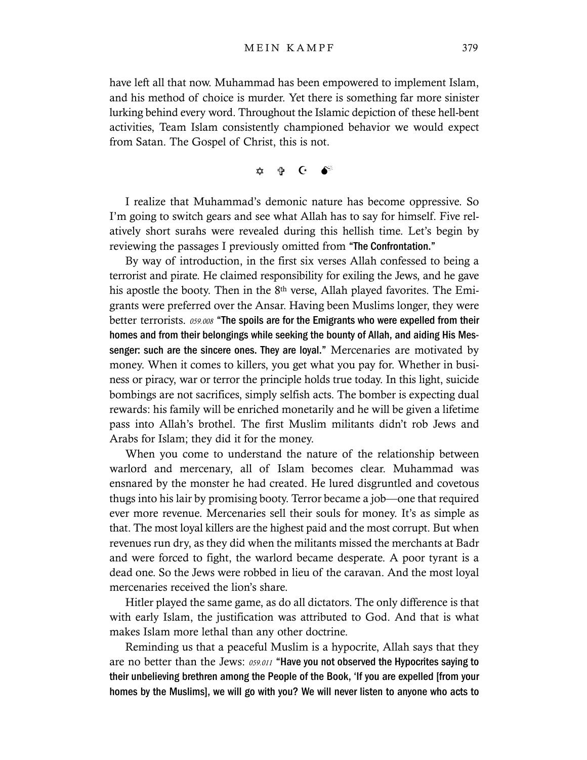## MEIN KAMPF 379

have left all that now. Muhammad has been empowered to implement Islam, and his method of choice is murder. Yet there is something far more sinister lurking behind every word. Throughout the Islamic depiction of these hell-bent activities, Team Islam consistently championed behavior we would expect from Satan. The Gospel of Christ, this is not.

**☆ 令 (\* 6<sup>\*</sup>** 

I realize that Muhammad's demonic nature has become oppressive. So I'm going to switch gears and see what Allah has to say for himself. Five relatively short surahs were revealed during this hellish time. Let's begin by reviewing the passages I previously omitted from "The Confrontation."

By way of introduction, in the first six verses Allah confessed to being a terrorist and pirate. He claimed responsibility for exiling the Jews, and he gave his apostle the booty. Then in the 8th verse, Allah played favorites. The Emigrants were preferred over the Ansar. Having been Muslims longer, they were better terrorists. *059.008* "The spoils are for the Emigrants who were expelled from their homes and from their belongings while seeking the bounty of Allah, and aiding His Messenger: such are the sincere ones. They are loyal." Mercenaries are motivated by money. When it comes to killers, you get what you pay for. Whether in business or piracy, war or terror the principle holds true today. In this light, suicide bombings are not sacrifices, simply selfish acts. The bomber is expecting dual rewards: his family will be enriched monetarily and he will be given a lifetime pass into Allah's brothel. The first Muslim militants didn't rob Jews and Arabs for Islam; they did it for the money.

When you come to understand the nature of the relationship between warlord and mercenary, all of Islam becomes clear. Muhammad was ensnared by the monster he had created. He lured disgruntled and covetous thugs into his lair by promising booty. Terror became a job—one that required ever more revenue. Mercenaries sell their souls for money. It's as simple as that. The most loyal killers are the highest paid and the most corrupt. But when revenues run dry, as they did when the militants missed the merchants at Badr and were forced to fight, the warlord became desperate. A poor tyrant is a dead one. So the Jews were robbed in lieu of the caravan. And the most loyal mercenaries received the lion's share.

Hitler played the same game, as do all dictators. The only difference is that with early Islam, the justification was attributed to God. And that is what makes Islam more lethal than any other doctrine.

Reminding us that a peaceful Muslim is a hypocrite, Allah says that they are no better than the Jews: *059.011* "Have you not observed the Hypocrites saying to their unbelieving brethren among the People of the Book, 'If you are expelled [from your homes by the Muslims], we will go with you? We will never listen to anyone who acts to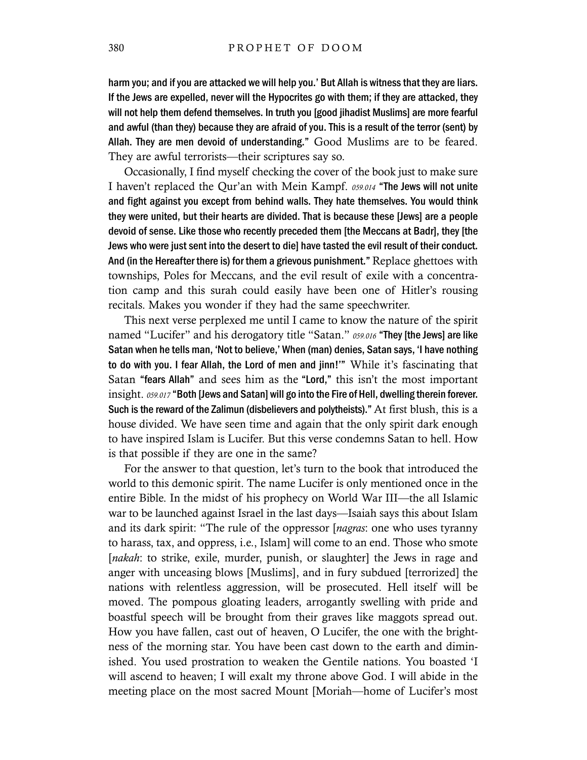harm you; and if you are attacked we will help you.' But Allah is witness that they are liars. If the Jews are expelled, never will the Hypocrites go with them; if they are attacked, they will not help them defend themselves. In truth you [good jihadist Muslims] are more fearful and awful (than they) because they are afraid of you. This is a result of the terror (sent) by Allah. They are men devoid of understanding." Good Muslims are to be feared. They are awful terrorists—their scriptures say so.

Occasionally, I find myself checking the cover of the book just to make sure I haven't replaced the Qur'an with Mein Kampf. *059.014* "The Jews will not unite and fight against you except from behind walls. They hate themselves. You would think they were united, but their hearts are divided. That is because these [Jews] are a people devoid of sense. Like those who recently preceded them [the Meccans at Badr], they [the Jews who were just sent into the desert to die] have tasted the evil result of their conduct. And (in the Hereafter there is) for them a grievous punishment." Replace ghettoes with townships, Poles for Meccans, and the evil result of exile with a concentration camp and this surah could easily have been one of Hitler's rousing recitals. Makes you wonder if they had the same speechwriter.

This next verse perplexed me until I came to know the nature of the spirit named "Lucifer" and his derogatory title "Satan." *059.016* "They [the Jews] are like Satan when he tells man, 'Not to believe,' When (man) denies, Satan says, 'I have nothing to do with you. I fear Allah, the Lord of men and jinn!'" While it's fascinating that Satan "fears Allah" and sees him as the "Lord," this isn't the most important insight. *059.017* "Both [Jews and Satan] will go into the Fire of Hell, dwelling therein forever. Such is the reward of the Zalimun (disbelievers and polytheists)." At first blush, this is a house divided. We have seen time and again that the only spirit dark enough to have inspired Islam is Lucifer. But this verse condemns Satan to hell. How is that possible if they are one in the same?

For the answer to that question, let's turn to the book that introduced the world to this demonic spirit. The name Lucifer is only mentioned once in the entire Bible. In the midst of his prophecy on World War III—the all Islamic war to be launched against Israel in the last days—Isaiah says this about Islam and its dark spirit: "The rule of the oppressor [*nagras*: one who uses tyranny to harass, tax, and oppress, i.e., Islam] will come to an end. Those who smote [*nakah*: to strike, exile, murder, punish, or slaughter] the Jews in rage and anger with unceasing blows [Muslims], and in fury subdued [terrorized] the nations with relentless aggression, will be prosecuted. Hell itself will be moved. The pompous gloating leaders, arrogantly swelling with pride and boastful speech will be brought from their graves like maggots spread out. How you have fallen, cast out of heaven, O Lucifer, the one with the brightness of the morning star. You have been cast down to the earth and diminished. You used prostration to weaken the Gentile nations. You boasted 'I will ascend to heaven; I will exalt my throne above God. I will abide in the meeting place on the most sacred Mount [Moriah—home of Lucifer's most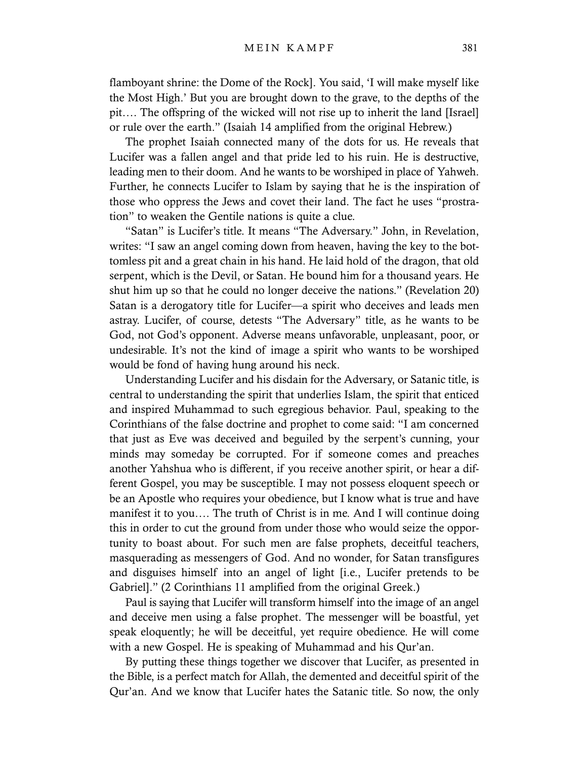## MEIN KAMPF 381

flamboyant shrine: the Dome of the Rock]. You said, 'I will make myself like the Most High.' But you are brought down to the grave, to the depths of the pit…. The offspring of the wicked will not rise up to inherit the land [Israel] or rule over the earth." (Isaiah 14 amplified from the original Hebrew.)

The prophet Isaiah connected many of the dots for us. He reveals that Lucifer was a fallen angel and that pride led to his ruin. He is destructive, leading men to their doom. And he wants to be worshiped in place of Yahweh. Further, he connects Lucifer to Islam by saying that he is the inspiration of those who oppress the Jews and covet their land. The fact he uses "prostration" to weaken the Gentile nations is quite a clue.

"Satan" is Lucifer's title. It means "The Adversary." John, in Revelation, writes: "I saw an angel coming down from heaven, having the key to the bottomless pit and a great chain in his hand. He laid hold of the dragon, that old serpent, which is the Devil, or Satan. He bound him for a thousand years. He shut him up so that he could no longer deceive the nations." (Revelation 20) Satan is a derogatory title for Lucifer—a spirit who deceives and leads men astray. Lucifer, of course, detests "The Adversary" title, as he wants to be God, not God's opponent. Adverse means unfavorable, unpleasant, poor, or undesirable. It's not the kind of image a spirit who wants to be worshiped would be fond of having hung around his neck.

Understanding Lucifer and his disdain for the Adversary, or Satanic title, is central to understanding the spirit that underlies Islam, the spirit that enticed and inspired Muhammad to such egregious behavior. Paul, speaking to the Corinthians of the false doctrine and prophet to come said: "I am concerned that just as Eve was deceived and beguiled by the serpent's cunning, your minds may someday be corrupted. For if someone comes and preaches another Yahshua who is different, if you receive another spirit, or hear a different Gospel, you may be susceptible. I may not possess eloquent speech or be an Apostle who requires your obedience, but I know what is true and have manifest it to you…. The truth of Christ is in me. And I will continue doing this in order to cut the ground from under those who would seize the opportunity to boast about. For such men are false prophets, deceitful teachers, masquerading as messengers of God. And no wonder, for Satan transfigures and disguises himself into an angel of light [i.e., Lucifer pretends to be Gabriel]." (2 Corinthians 11 amplified from the original Greek.)

Paul is saying that Lucifer will transform himself into the image of an angel and deceive men using a false prophet. The messenger will be boastful, yet speak eloquently; he will be deceitful, yet require obedience. He will come with a new Gospel. He is speaking of Muhammad and his Qur'an.

By putting these things together we discover that Lucifer, as presented in the Bible, is a perfect match for Allah, the demented and deceitful spirit of the Qur'an. And we know that Lucifer hates the Satanic title. So now, the only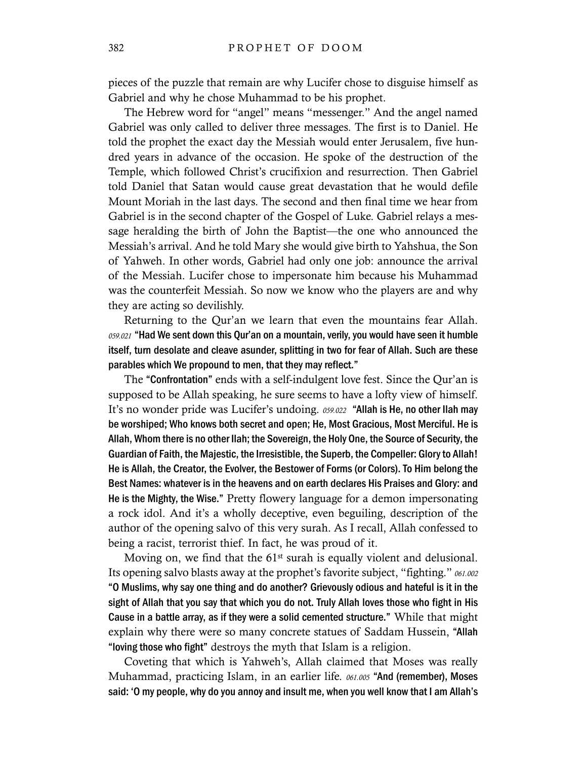pieces of the puzzle that remain are why Lucifer chose to disguise himself as Gabriel and why he chose Muhammad to be his prophet.

The Hebrew word for "angel" means "messenger." And the angel named Gabriel was only called to deliver three messages. The first is to Daniel. He told the prophet the exact day the Messiah would enter Jerusalem, five hundred years in advance of the occasion. He spoke of the destruction of the Temple, which followed Christ's crucifixion and resurrection. Then Gabriel told Daniel that Satan would cause great devastation that he would defile Mount Moriah in the last days. The second and then final time we hear from Gabriel is in the second chapter of the Gospel of Luke. Gabriel relays a message heralding the birth of John the Baptist—the one who announced the Messiah's arrival. And he told Mary she would give birth to Yahshua, the Son of Yahweh. In other words, Gabriel had only one job: announce the arrival of the Messiah. Lucifer chose to impersonate him because his Muhammad was the counterfeit Messiah. So now we know who the players are and why they are acting so devilishly.

Returning to the Qur'an we learn that even the mountains fear Allah. *059.021* "Had We sent down this Qur'an on a mountain, verily, you would have seen it humble itself, turn desolate and cleave asunder, splitting in two for fear of Allah. Such are these parables which We propound to men, that they may reflect."

The "Confrontation" ends with a self-indulgent love fest. Since the Qur'an is supposed to be Allah speaking, he sure seems to have a lofty view of himself. It's no wonder pride was Lucifer's undoing. *059.022* "Allah is He, no other Ilah may be worshiped; Who knows both secret and open; He, Most Gracious, Most Merciful. He is Allah, Whom there is no other Ilah; the Sovereign, the Holy One, the Source of Security, the Guardian of Faith, the Majestic, the Irresistible, the Superb, the Compeller: Glory to Allah! He is Allah, the Creator, the Evolver, the Bestower of Forms (or Colors). To Him belong the Best Names: whatever is in the heavens and on earth declares His Praises and Glory: and He is the Mighty, the Wise." Pretty flowery language for a demon impersonating a rock idol. And it's a wholly deceptive, even beguiling, description of the author of the opening salvo of this very surah. As I recall, Allah confessed to being a racist, terrorist thief. In fact, he was proud of it.

Moving on, we find that the 61<sup>st</sup> surah is equally violent and delusional. Its opening salvo blasts away at the prophet's favorite subject, "fighting." *061.002* "O Muslims, why say one thing and do another? Grievously odious and hateful is it in the sight of Allah that you say that which you do not. Truly Allah loves those who fight in His Cause in a battle array, as if they were a solid cemented structure." While that might explain why there were so many concrete statues of Saddam Hussein, "Allah "loving those who fight" destroys the myth that Islam is a religion.

Coveting that which is Yahweh's, Allah claimed that Moses was really Muhammad, practicing Islam, in an earlier life. *061.005* "And (remember), Moses said: 'O my people, why do you annoy and insult me, when you well know that I am Allah's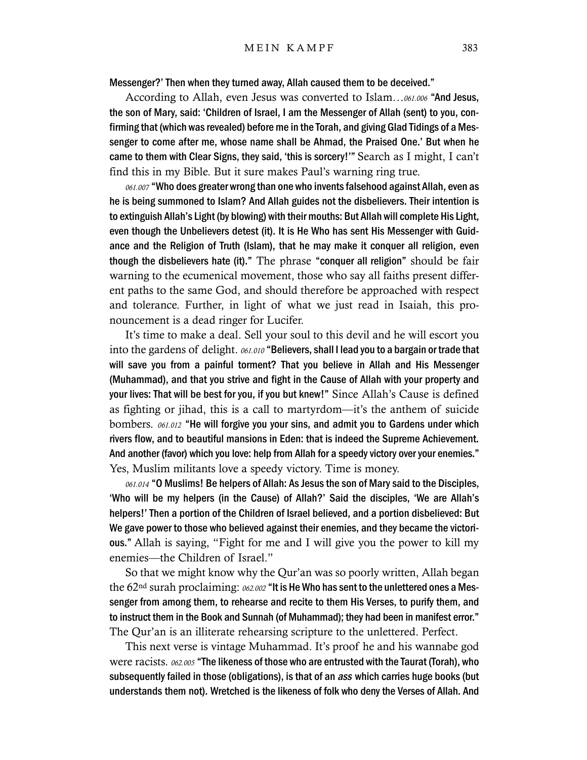Messenger?' Then when they turned away, Allah caused them to be deceived."

According to Allah, even Jesus was converted to Islam…*061.006* "And Jesus, the son of Mary, said: 'Children of Israel, I am the Messenger of Allah (sent) to you, confirming that (which was revealed) before me in the Torah, and giving Glad Tidings of a Messenger to come after me, whose name shall be Ahmad, the Praised One.' But when he came to them with Clear Signs, they said, 'this is sorcery!'" Search as I might, I can't find this in my Bible. But it sure makes Paul's warning ring true.

*061.007* "Who does greater wrong than one who invents falsehood against Allah, even as he is being summoned to Islam? And Allah guides not the disbelievers. Their intention is to extinguish Allah's Light (by blowing) with their mouths: But Allah will complete His Light, even though the Unbelievers detest (it). It is He Who has sent His Messenger with Guidance and the Religion of Truth (Islam), that he may make it conquer all religion, even though the disbelievers hate (it)." The phrase "conquer all religion" should be fair warning to the ecumenical movement, those who say all faiths present different paths to the same God, and should therefore be approached with respect and tolerance. Further, in light of what we just read in Isaiah, this pronouncement is a dead ringer for Lucifer.

It's time to make a deal. Sell your soul to this devil and he will escort you into the gardens of delight. *061.010* "Believers, shall I lead you to a bargain or trade that will save you from a painful torment? That you believe in Allah and His Messenger (Muhammad), and that you strive and fight in the Cause of Allah with your property and your lives: That will be best for you, if you but knew!" Since Allah's Cause is defined as fighting or jihad, this is a call to martyrdom—it's the anthem of suicide bombers. *061.012* "He will forgive you your sins, and admit you to Gardens under which rivers flow, and to beautiful mansions in Eden: that is indeed the Supreme Achievement. And another (favor) which you love: help from Allah for a speedy victory over your enemies." Yes, Muslim militants love a speedy victory. Time is money.

*061.014* "O Muslims! Be helpers of Allah: As Jesus the son of Mary said to the Disciples, 'Who will be my helpers (in the Cause) of Allah?' Said the disciples, 'We are Allah's helpers!' Then a portion of the Children of Israel believed, and a portion disbelieved: But We gave power to those who believed against their enemies, and they became the victorious." Allah is saying, "Fight for me and I will give you the power to kill my enemies—the Children of Israel."

So that we might know why the Qur'an was so poorly written, Allah began the 62nd surah proclaiming: *062.002* "It is He Who has sent to the unlettered ones a Messenger from among them, to rehearse and recite to them His Verses, to purify them, and to instruct them in the Book and Sunnah (of Muhammad); they had been in manifest error." The Qur'an is an illiterate rehearsing scripture to the unlettered. Perfect.

This next verse is vintage Muhammad. It's proof he and his wannabe god were racists. *062.005* "The likeness of those who are entrusted with the Taurat (Torah), who subsequently failed in those (obligations), is that of an *ass* which carries huge books (but understands them not). Wretched is the likeness of folk who deny the Verses of Allah. And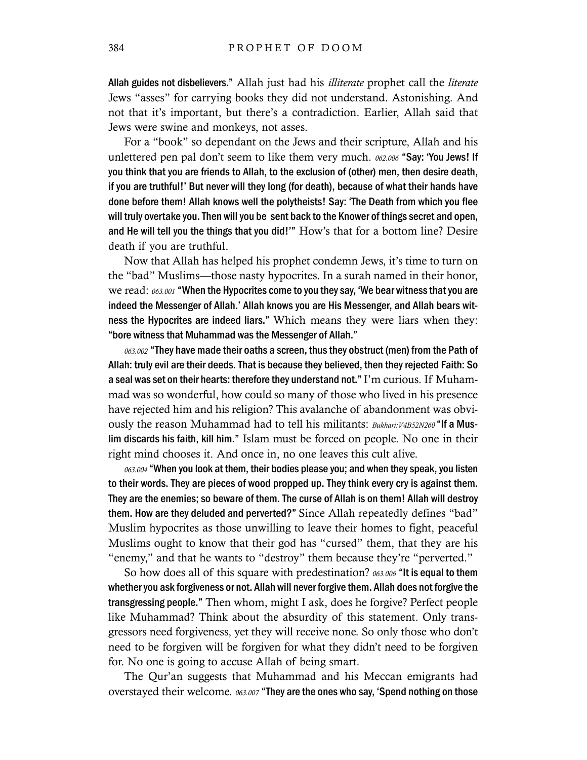Allah guides not disbelievers." Allah just had his *illiterate* prophet call the *literate* Jews "asses" for carrying books they did not understand. Astonishing. And not that it's important, but there's a contradiction. Earlier, Allah said that Jews were swine and monkeys, not asses.

For a "book" so dependant on the Jews and their scripture, Allah and his unlettered pen pal don't seem to like them very much. *062.006* "Say: 'You Jews! If you think that you are friends to Allah, to the exclusion of (other) men, then desire death, if you are truthful!' But never will they long (for death), because of what their hands have done before them! Allah knows well the polytheists! Say: 'The Death from which you flee will truly overtake you. Then will you be sent back to the Knower of things secret and open, and He will tell you the things that you did!'" How's that for a bottom line? Desire death if you are truthful.

Now that Allah has helped his prophet condemn Jews, it's time to turn on the "bad" Muslims—those nasty hypocrites. In a surah named in their honor, we read: *063.001* "When the Hypocrites come to you they say, 'We bear witness that you are indeed the Messenger of Allah.' Allah knows you are His Messenger, and Allah bears witness the Hypocrites are indeed liars." Which means they were liars when they: "bore witness that Muhammad was the Messenger of Allah."

*063.002* "They have made their oaths a screen, thus they obstruct (men) from the Path of Allah: truly evil are their deeds. That is because they believed, then they rejected Faith: So a seal was set on their hearts: therefore they understand not." I'm curious. If Muhammad was so wonderful, how could so many of those who lived in his presence have rejected him and his religion? This avalanche of abandonment was obviously the reason Muhammad had to tell his militants: *Bukhari:V4B52N260* "If a Muslim discards his faith, kill him." Islam must be forced on people. No one in their right mind chooses it. And once in, no one leaves this cult alive.

*063.004* "When you look at them, their bodies please you; and when they speak, you listen to their words. They are pieces of wood propped up. They think every cry is against them. They are the enemies; so beware of them. The curse of Allah is on them! Allah will destroy them. How are they deluded and perverted?" Since Allah repeatedly defines "bad" Muslim hypocrites as those unwilling to leave their homes to fight, peaceful Muslims ought to know that their god has "cursed" them, that they are his "enemy," and that he wants to "destroy" them because they're "perverted."

So how does all of this square with predestination? *063.006* "It is equal to them whether you ask forgiveness or not. Allah will never forgive them. Allah does not forgive the transgressing people." Then whom, might I ask, does he forgive? Perfect people like Muhammad? Think about the absurdity of this statement. Only transgressors need forgiveness, yet they will receive none. So only those who don't need to be forgiven will be forgiven for what they didn't need to be forgiven for. No one is going to accuse Allah of being smart.

The Qur'an suggests that Muhammad and his Meccan emigrants had overstayed their welcome. *063.007* "They are the ones who say, 'Spend nothing on those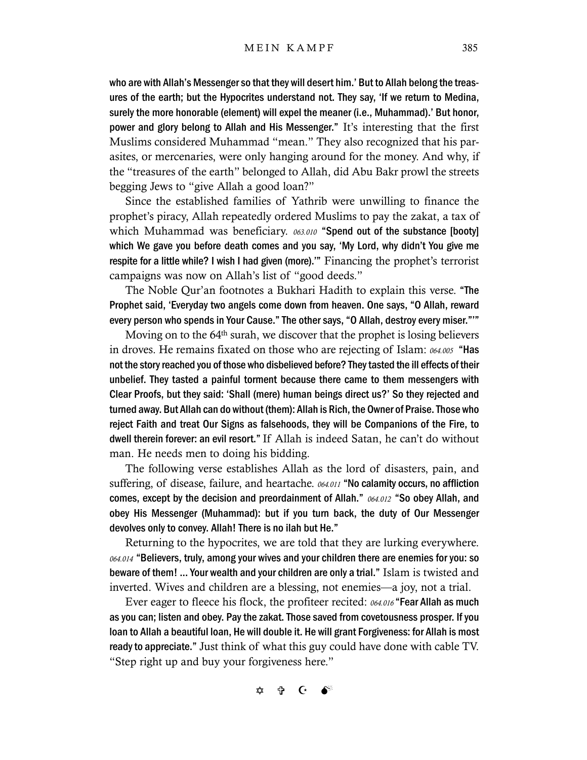who are with Allah's Messenger so that they will desert him.' But to Allah belong the treasures of the earth; but the Hypocrites understand not. They say, 'If we return to Medina, surely the more honorable (element) will expel the meaner (i.e., Muhammad).' But honor, power and glory belong to Allah and His Messenger." It's interesting that the first Muslims considered Muhammad "mean." They also recognized that his parasites, or mercenaries, were only hanging around for the money. And why, if the "treasures of the earth" belonged to Allah, did Abu Bakr prowl the streets begging Jews to "give Allah a good loan?"

Since the established families of Yathrib were unwilling to finance the prophet's piracy, Allah repeatedly ordered Muslims to pay the zakat, a tax of which Muhammad was beneficiary. *063.010* "Spend out of the substance [booty] which We gave you before death comes and you say, 'My Lord, why didn't You give me respite for a little while? I wish I had given (more).'" Financing the prophet's terrorist campaigns was now on Allah's list of "good deeds."

The Noble Qur'an footnotes a Bukhari Hadith to explain this verse. "The Prophet said, 'Everyday two angels come down from heaven. One says, "O Allah, reward every person who spends in Your Cause." The other says, "O Allah, destroy every miser."'"

Moving on to the 64<sup>th</sup> surah, we discover that the prophet is losing believers in droves. He remains fixated on those who are rejecting of Islam: *064.005* "Has not the story reached you of those who disbelieved before? They tasted the ill effects of their unbelief. They tasted a painful torment because there came to them messengers with Clear Proofs, but they said: 'Shall (mere) human beings direct us?' So they rejected and turned away. But Allah can do without (them): Allah is Rich, the Owner of Praise. Those who reject Faith and treat Our Signs as falsehoods, they will be Companions of the Fire, to dwell therein forever: an evil resort." If Allah is indeed Satan, he can't do without man. He needs men to doing his bidding.

The following verse establishes Allah as the lord of disasters, pain, and suffering, of disease, failure, and heartache. *064.011* "No calamity occurs, no affliction comes, except by the decision and preordainment of Allah." *064.012* "So obey Allah, and obey His Messenger (Muhammad): but if you turn back, the duty of Our Messenger devolves only to convey. Allah! There is no ilah but He."

Returning to the hypocrites, we are told that they are lurking everywhere. *064.014* "Believers, truly, among your wives and your children there are enemies for you: so beware of them! ... Your wealth and your children are only a trial." Islam is twisted and inverted. Wives and children are a blessing, not enemies—a joy, not a trial.

Ever eager to fleece his flock, the profiteer recited: *064.016* "Fear Allah as much as you can; listen and obey. Pay the zakat. Those saved from covetousness prosper. If you loan to Allah a beautiful loan, He will double it. He will grant Forgiveness: for Allah is most ready to appreciate." Just think of what this guy could have done with cable TV. "Step right up and buy your forgiveness here."

 $\mathsf{C}$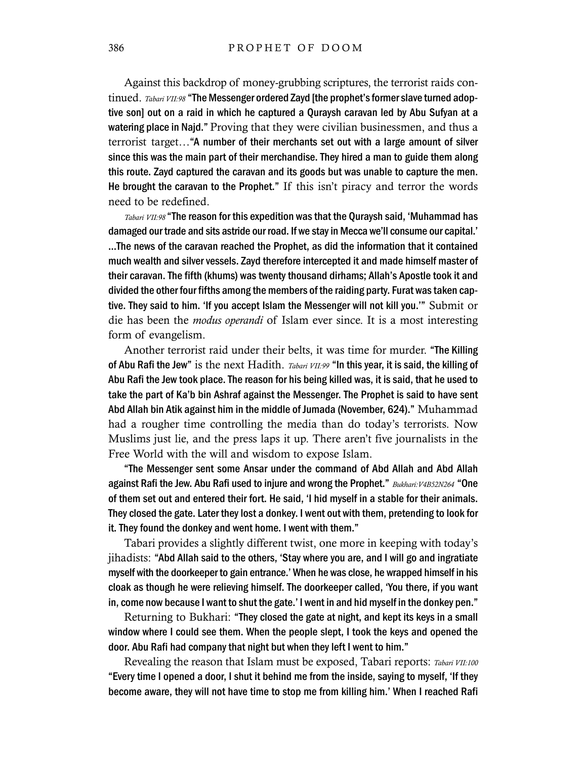Against this backdrop of money-grubbing scriptures, the terrorist raids continued. *Tabari VII:98* "The Messenger ordered Zayd [the prophet's former slave turned adoptive son] out on a raid in which he captured a Quraysh caravan led by Abu Sufyan at a watering place in Najd." Proving that they were civilian businessmen, and thus a terrorist target…"A number of their merchants set out with a large amount of silver since this was the main part of their merchandise. They hired a man to guide them along this route. Zayd captured the caravan and its goods but was unable to capture the men. He brought the caravan to the Prophet." If this isn't piracy and terror the words need to be redefined.

*Tabari VII:98* "The reason for this expedition was that the Quraysh said, 'Muhammad has damaged our trade and sits astride our road. If we stay in Mecca we'll consume our capital.' …The news of the caravan reached the Prophet, as did the information that it contained much wealth and silver vessels. Zayd therefore intercepted it and made himself master of their caravan. The fifth (khums) was twenty thousand dirhams; Allah's Apostle took it and divided the other four fifths among the members of the raiding party. Furat was taken captive. They said to him. 'If you accept Islam the Messenger will not kill you.'" Submit or die has been the *modus operandi* of Islam ever since. It is a most interesting form of evangelism.

Another terrorist raid under their belts, it was time for murder. "The Killing of Abu Rafi the Jew" is the next Hadith. *Tabari VII:99* "In this year, it is said, the killing of Abu Rafi the Jew took place. The reason for his being killed was, it is said, that he used to take the part of Ka'b bin Ashraf against the Messenger. The Prophet is said to have sent Abd Allah bin Atik against him in the middle of Jumada (November, 624)." Muhammad had a rougher time controlling the media than do today's terrorists. Now Muslims just lie, and the press laps it up. There aren't five journalists in the Free World with the will and wisdom to expose Islam.

"The Messenger sent some Ansar under the command of Abd Allah and Abd Allah against Rafi the Jew. Abu Rafi used to injure and wrong the Prophet." *Bukhari:V4B52N264* "One of them set out and entered their fort. He said, 'I hid myself in a stable for their animals. They closed the gate. Later they lost a donkey. I went out with them, pretending to look for it. They found the donkey and went home. I went with them."

Tabari provides a slightly different twist, one more in keeping with today's jihadists: "Abd Allah said to the others, 'Stay where you are, and I will go and ingratiate myself with the doorkeeper to gain entrance.' When he was close, he wrapped himself in his cloak as though he were relieving himself. The doorkeeper called, 'You there, if you want in, come now because I want to shut the gate.' I went in and hid myself in the donkey pen."

Returning to Bukhari: "They closed the gate at night, and kept its keys in a small window where I could see them. When the people slept, I took the keys and opened the door. Abu Rafi had company that night but when they left I went to him."

Revealing the reason that Islam must be exposed, Tabari reports: *Tabari VII:100* "Every time I opened a door, I shut it behind me from the inside, saying to myself, 'If they become aware, they will not have time to stop me from killing him.' When I reached Rafi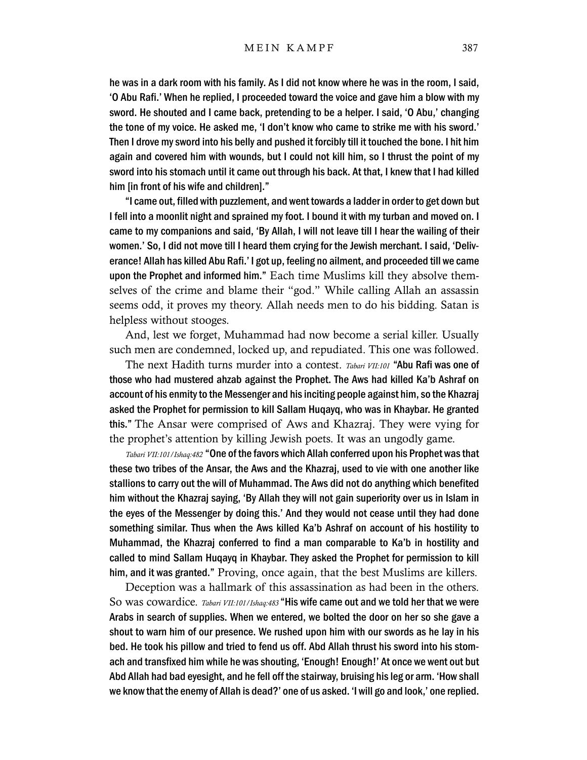he was in a dark room with his family. As I did not know where he was in the room, I said, 'O Abu Rafi.' When he replied, I proceeded toward the voice and gave him a blow with my sword. He shouted and I came back, pretending to be a helper. I said, 'O Abu,' changing the tone of my voice. He asked me, 'I don't know who came to strike me with his sword.' Then I drove my sword into his belly and pushed it forcibly till it touched the bone. I hit him again and covered him with wounds, but I could not kill him, so I thrust the point of my sword into his stomach until it came out through his back. At that, I knew that I had killed him [in front of his wife and children]."

"I came out, filled with puzzlement, and went towards a ladder in order to get down but I fell into a moonlit night and sprained my foot. I bound it with my turban and moved on. I came to my companions and said, 'By Allah, I will not leave till I hear the wailing of their women.' So, I did not move till I heard them crying for the Jewish merchant. I said, 'Deliverance! Allah has killed Abu Rafi.' I got up, feeling no ailment, and proceeded till we came upon the Prophet and informed him." Each time Muslims kill they absolve themselves of the crime and blame their "god." While calling Allah an assassin seems odd, it proves my theory. Allah needs men to do his bidding. Satan is helpless without stooges.

And, lest we forget, Muhammad had now become a serial killer. Usually such men are condemned, locked up, and repudiated. This one was followed.

The next Hadith turns murder into a contest. *Tabari VII:101* "Abu Rafi was one of those who had mustered ahzab against the Prophet. The Aws had killed Ka'b Ashraf on account of his enmity to the Messenger and his inciting people against him, so the Khazraj asked the Prophet for permission to kill Sallam Huqayq, who was in Khaybar. He granted this." The Ansar were comprised of Aws and Khazraj. They were vying for the prophet's attention by killing Jewish poets. It was an ungodly game.

*Tabari VII:101/Ishaq:482* "One of the favors which Allah conferred upon his Prophet was that these two tribes of the Ansar, the Aws and the Khazraj, used to vie with one another like stallions to carry out the will of Muhammad. The Aws did not do anything which benefited him without the Khazraj saying, 'By Allah they will not gain superiority over us in Islam in the eyes of the Messenger by doing this.' And they would not cease until they had done something similar. Thus when the Aws killed Ka'b Ashraf on account of his hostility to Muhammad, the Khazraj conferred to find a man comparable to Ka'b in hostility and called to mind Sallam Huqayq in Khaybar. They asked the Prophet for permission to kill him, and it was granted." Proving, once again, that the best Muslims are killers.

Deception was a hallmark of this assassination as had been in the others. So was cowardice. *Tabari VII:101/Ishaq:483* "His wife came out and we told her that we were Arabs in search of supplies. When we entered, we bolted the door on her so she gave a shout to warn him of our presence. We rushed upon him with our swords as he lay in his bed. He took his pillow and tried to fend us off. Abd Allah thrust his sword into his stomach and transfixed him while he was shouting, 'Enough! Enough!' At once we went out but Abd Allah had bad eyesight, and he fell off the stairway, bruising his leg or arm. 'How shall we know that the enemy of Allah is dead?' one of us asked. 'I will go and look,' one replied.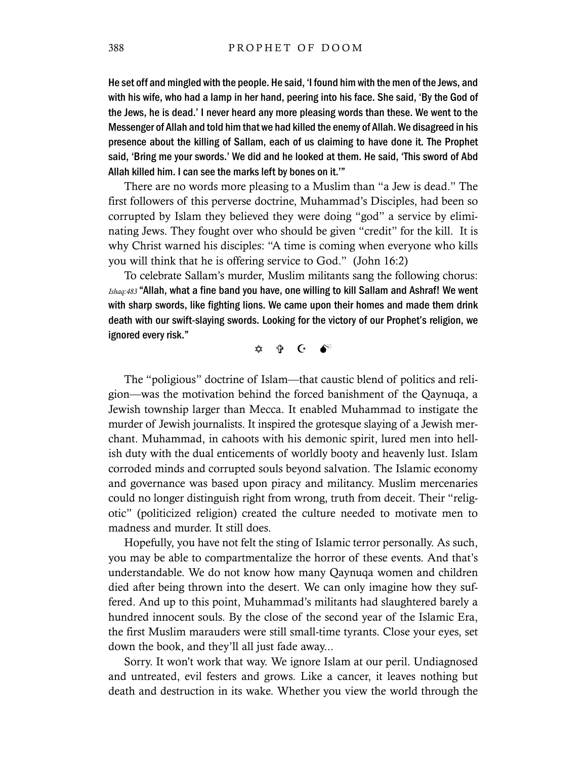He set off and mingled with the people. He said, 'I found him with the men of the Jews, and with his wife, who had a lamp in her hand, peering into his face. She said, 'By the God of the Jews, he is dead.' I never heard any more pleasing words than these. We went to the Messenger of Allah and told him that we had killed the enemy of Allah. We disagreed in his presence about the killing of Sallam, each of us claiming to have done it. The Prophet said, 'Bring me your swords.' We did and he looked at them. He said, 'This sword of Abd Allah killed him. I can see the marks left by bones on it.'"

There are no words more pleasing to a Muslim than "a Jew is dead." The first followers of this perverse doctrine, Muhammad's Disciples, had been so corrupted by Islam they believed they were doing "god" a service by eliminating Jews. They fought over who should be given "credit" for the kill. It is why Christ warned his disciples: "A time is coming when everyone who kills you will think that he is offering service to God." (John 16:2)

To celebrate Sallam's murder, Muslim militants sang the following chorus: *Ishaq:483* "Allah, what a fine band you have, one willing to kill Sallam and Ashraf! We went with sharp swords, like fighting lions. We came upon their homes and made them drink death with our swift-slaying swords. Looking for the victory of our Prophet's religion, we ignored every risk."

 $\mathsf{C}^{\star}$ 

The "poligious" doctrine of Islam—that caustic blend of politics and religion—was the motivation behind the forced banishment of the Qaynuqa, a Jewish township larger than Mecca. It enabled Muhammad to instigate the murder of Jewish journalists. It inspired the grotesque slaying of a Jewish merchant. Muhammad, in cahoots with his demonic spirit, lured men into hellish duty with the dual enticements of worldly booty and heavenly lust. Islam corroded minds and corrupted souls beyond salvation. The Islamic economy and governance was based upon piracy and militancy. Muslim mercenaries could no longer distinguish right from wrong, truth from deceit. Their "religotic" (politicized religion) created the culture needed to motivate men to madness and murder. It still does.

Hopefully, you have not felt the sting of Islamic terror personally. As such, you may be able to compartmentalize the horror of these events. And that's understandable. We do not know how many Qaynuqa women and children died after being thrown into the desert. We can only imagine how they suffered. And up to this point, Muhammad's militants had slaughtered barely a hundred innocent souls. By the close of the second year of the Islamic Era, the first Muslim marauders were still small-time tyrants. Close your eyes, set down the book, and they'll all just fade away...

Sorry. It won't work that way. We ignore Islam at our peril. Undiagnosed and untreated, evil festers and grows. Like a cancer, it leaves nothing but death and destruction in its wake. Whether you view the world through the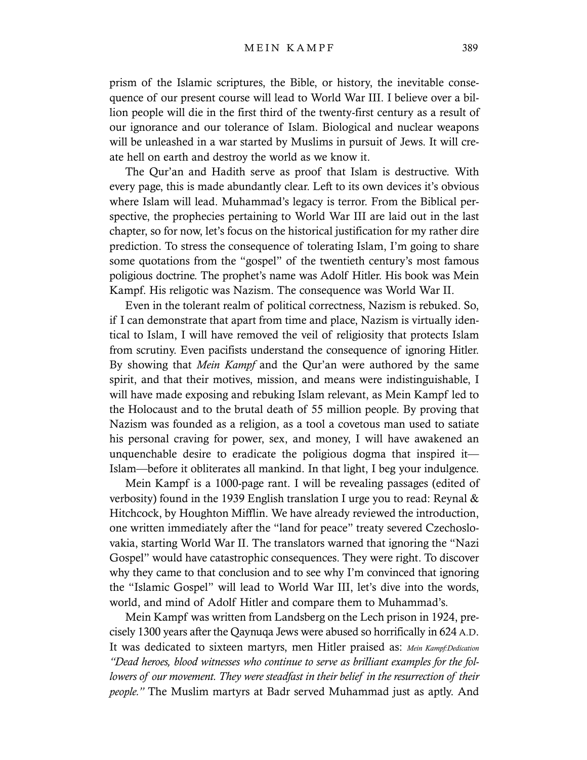prism of the Islamic scriptures, the Bible, or history, the inevitable consequence of our present course will lead to World War III. I believe over a billion people will die in the first third of the twenty-first century as a result of our ignorance and our tolerance of Islam. Biological and nuclear weapons will be unleashed in a war started by Muslims in pursuit of Jews. It will create hell on earth and destroy the world as we know it.

The Qur'an and Hadith serve as proof that Islam is destructive. With every page, this is made abundantly clear. Left to its own devices it's obvious where Islam will lead. Muhammad's legacy is terror. From the Biblical perspective, the prophecies pertaining to World War III are laid out in the last chapter, so for now, let's focus on the historical justification for my rather dire prediction. To stress the consequence of tolerating Islam, I'm going to share some quotations from the "gospel" of the twentieth century's most famous poligious doctrine. The prophet's name was Adolf Hitler. His book was Mein Kampf. His religotic was Nazism. The consequence was World War II.

Even in the tolerant realm of political correctness, Nazism is rebuked. So, if I can demonstrate that apart from time and place, Nazism is virtually identical to Islam, I will have removed the veil of religiosity that protects Islam from scrutiny. Even pacifists understand the consequence of ignoring Hitler. By showing that *Mein Kampf* and the Qur'an were authored by the same spirit, and that their motives, mission, and means were indistinguishable, I will have made exposing and rebuking Islam relevant, as Mein Kampf led to the Holocaust and to the brutal death of 55 million people. By proving that Nazism was founded as a religion, as a tool a covetous man used to satiate his personal craving for power, sex, and money, I will have awakened an unquenchable desire to eradicate the poligious dogma that inspired it— Islam—before it obliterates all mankind. In that light, I beg your indulgence.

Mein Kampf is a 1000-page rant. I will be revealing passages (edited of verbosity) found in the 1939 English translation I urge you to read: Reynal & Hitchcock, by Houghton Mifflin. We have already reviewed the introduction, one written immediately after the "land for peace" treaty severed Czechoslovakia, starting World War II. The translators warned that ignoring the "Nazi Gospel" would have catastrophic consequences. They were right. To discover why they came to that conclusion and to see why I'm convinced that ignoring the "Islamic Gospel" will lead to World War III, let's dive into the words, world, and mind of Adolf Hitler and compare them to Muhammad's.

Mein Kampf was written from Landsberg on the Lech prison in 1924, precisely 1300 years after the Qaynuqa Jews were abused so horrifically in 624 A.D. It was dedicated to sixteen martyrs, men Hitler praised as: *Mein Kampf:Dedication "Dead heroes, blood witnesses who continue to serve as brilliant examples for the followers of our movement. They were steadfast in their belief in the resurrection of their people."* The Muslim martyrs at Badr served Muhammad just as aptly. And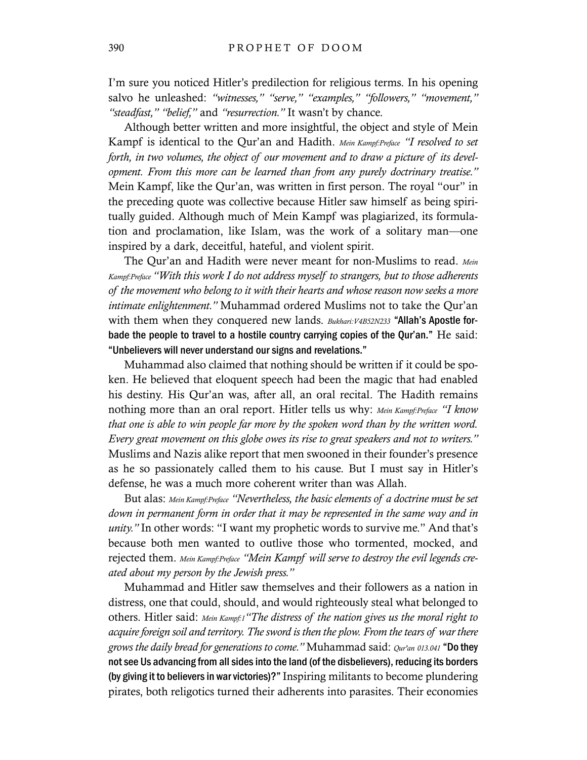I'm sure you noticed Hitler's predilection for religious terms. In his opening salvo he unleashed: *"witnesses," "serve," "examples," "followers," "movement," "steadfast," "belief,"* and *"resurrection."* It wasn't by chance.

Although better written and more insightful, the object and style of Mein Kampf is identical to the Qur'an and Hadith. *Mein Kampf:Preface "I resolved to set forth, in two volumes, the object of our movement and to draw a picture of its development. From this more can be learned than from any purely doctrinary treatise."* Mein Kampf, like the Qur'an, was written in first person. The royal "our" in the preceding quote was collective because Hitler saw himself as being spiritually guided. Although much of Mein Kampf was plagiarized, its formulation and proclamation, like Islam, was the work of a solitary man—one inspired by a dark, deceitful, hateful, and violent spirit.

The Qur'an and Hadith were never meant for non-Muslims to read. *Mein Kampf:Preface "With this work I do not address myself to strangers, but to those adherents of the movement who belong to it with their hearts and whose reason now seeks a more intimate enlightenment."* Muhammad ordered Muslims not to take the Qur'an with them when they conquered new lands. *Bukhari:V4B52N233* "Allah's Apostle forbade the people to travel to a hostile country carrying copies of the Qur'an." He said: "Unbelievers will never understand our signs and revelations."

Muhammad also claimed that nothing should be written if it could be spoken. He believed that eloquent speech had been the magic that had enabled his destiny. His Qur'an was, after all, an oral recital. The Hadith remains nothing more than an oral report. Hitler tells us why: *Mein Kampf:Preface "I know that one is able to win people far more by the spoken word than by the written word. Every great movement on this globe owes its rise to great speakers and not to writers."* Muslims and Nazis alike report that men swooned in their founder's presence as he so passionately called them to his cause. But I must say in Hitler's defense, he was a much more coherent writer than was Allah.

But alas: *Mein Kampf:Preface "Nevertheless, the basic elements of a doctrine must be set down in permanent form in order that it may be represented in the same way and in unity.*" In other words: "I want my prophetic words to survive me." And that's because both men wanted to outlive those who tormented, mocked, and rejected them. *Mein Kampf:Preface "Mein Kampf will serve to destroy the evil legends created about my person by the Jewish press."*

Muhammad and Hitler saw themselves and their followers as a nation in distress, one that could, should, and would righteously steal what belonged to others. Hitler said: *Mein Kampf:1"The distress of the nation gives us the moral right to acquire foreign soil and territory. The sword is then the plow. From the tears of war there grows the daily bread for generations to come."* Muhammad said: *Qur'an 013.041* "Do they not see Us advancing from all sides into the land (of the disbelievers), reducing its borders (by giving it to believers in war victories)?" Inspiring militants to become plundering pirates, both religotics turned their adherents into parasites. Their economies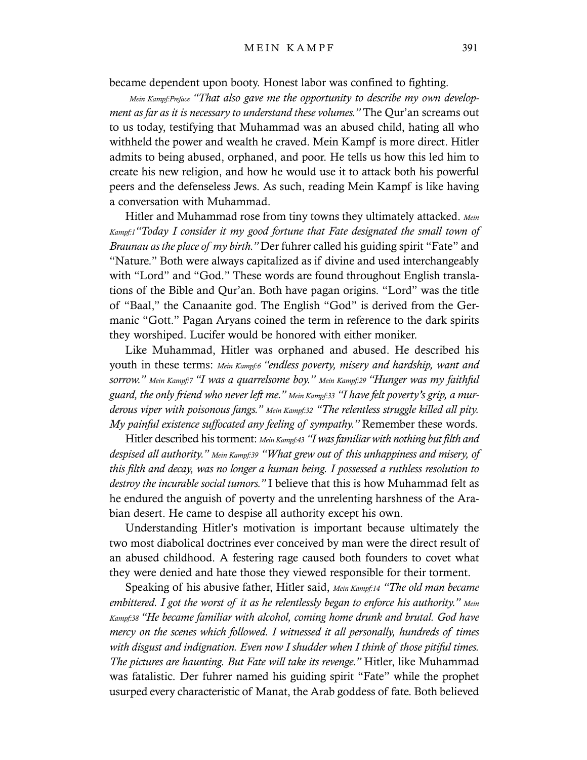became dependent upon booty. Honest labor was confined to fighting.

*Mein Kampf:Preface "That also gave me the opportunity to describe my own development as far as it is necessary to understand these volumes."* The Qur'an screams out to us today, testifying that Muhammad was an abused child, hating all who withheld the power and wealth he craved. Mein Kampf is more direct. Hitler admits to being abused, orphaned, and poor. He tells us how this led him to create his new religion, and how he would use it to attack both his powerful peers and the defenseless Jews. As such, reading Mein Kampf is like having a conversation with Muhammad.

Hitler and Muhammad rose from tiny towns they ultimately attacked. *Mein Kampf:1"Today I consider it my good fortune that Fate designated the small town of Braunau as the place of my birth."* Der fuhrer called his guiding spirit "Fate" and "Nature." Both were always capitalized as if divine and used interchangeably with "Lord" and "God." These words are found throughout English translations of the Bible and Qur'an. Both have pagan origins. "Lord" was the title of "Baal," the Canaanite god. The English "God" is derived from the Germanic "Gott." Pagan Aryans coined the term in reference to the dark spirits they worshiped. Lucifer would be honored with either moniker.

Like Muhammad, Hitler was orphaned and abused. He described his youth in these terms: *Mein Kampf:6 "endless poverty, misery and hardship, want and sorrow." Mein Kampf:7 "I was a quarrelsome boy." Mein Kampf:29 "Hunger was my faithful guard, the only friend who never left me." Mein Kampf:33 "I have felt poverty's grip, a murderous viper with poisonous fangs." Mein Kampf:32 "The relentless struggle killed all pity. My painful existence suffocated any feeling of sympathy."* Remember these words.

Hitler described his torment: *Mein Kampf:43 "I was familiar with nothing but filth and despised all authority." Mein Kampf:39 "What grew out of this unhappiness and misery, of this filth and decay, was no longer a human being. I possessed a ruthless resolution to destroy the incurable social tumors."* I believe that this is how Muhammad felt as he endured the anguish of poverty and the unrelenting harshness of the Arabian desert. He came to despise all authority except his own.

Understanding Hitler's motivation is important because ultimately the two most diabolical doctrines ever conceived by man were the direct result of an abused childhood. A festering rage caused both founders to covet what they were denied and hate those they viewed responsible for their torment.

Speaking of his abusive father, Hitler said, *Mein Kampf:14 "The old man became embittered. I got the worst of it as he relentlessly began to enforce his authority." Mein Kampf:38 "He became familiar with alcohol, coming home drunk and brutal. God have mercy on the scenes which followed. I witnessed it all personally, hundreds of times with disgust and indignation. Even now I shudder when I think of those pitiful times. The pictures are haunting. But Fate will take its revenge."* Hitler, like Muhammad was fatalistic. Der fuhrer named his guiding spirit "Fate" while the prophet usurped every characteristic of Manat, the Arab goddess of fate. Both believed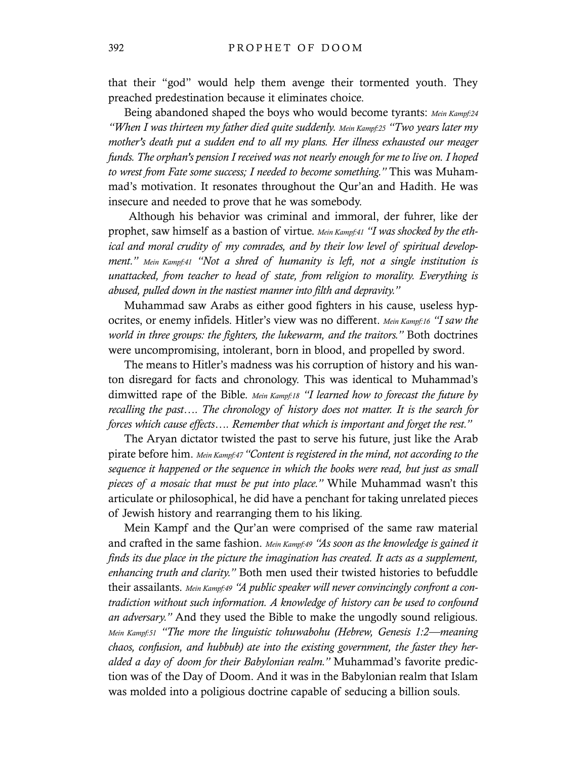that their "god" would help them avenge their tormented youth. They preached predestination because it eliminates choice.

Being abandoned shaped the boys who would become tyrants: *Mein Kampf:24 "When I was thirteen my father died quite suddenly. Mein Kampf:25 "Two years later my mother's death put a sudden end to all my plans. Her illness exhausted our meager funds. The orphan's pension I received was not nearly enough for me to live on. I hoped to wrest from Fate some success; I needed to become something."* This was Muhammad's motivation. It resonates throughout the Qur'an and Hadith. He was insecure and needed to prove that he was somebody.

Although his behavior was criminal and immoral, der fuhrer, like der prophet, saw himself as a bastion of virtue. *Mein Kampf:41 "I was shocked by the ethical and moral crudity of my comrades, and by their low level of spiritual development." Mein Kampf:41 "Not a shred of humanity is left, not a single institution is unattacked, from teacher to head of state, from religion to morality. Everything is abused, pulled down in the nastiest manner into filth and depravity."*

Muhammad saw Arabs as either good fighters in his cause, useless hypocrites, or enemy infidels. Hitler's view was no different. *Mein Kampf:16 "I saw the world in three groups: the fighters, the lukewarm, and the traitors."* Both doctrines were uncompromising, intolerant, born in blood, and propelled by sword.

The means to Hitler's madness was his corruption of history and his wanton disregard for facts and chronology. This was identical to Muhammad's dimwitted rape of the Bible. *Mein Kampf:18 "I learned how to forecast the future by recalling the past…. The chronology of history does not matter. It is the search for forces which cause effects…. Remember that which is important and forget the rest."*

The Aryan dictator twisted the past to serve his future, just like the Arab pirate before him. *Mein Kampf:47 "Content is registered in the mind, not according to the sequence it happened or the sequence in which the books were read, but just as small pieces of a mosaic that must be put into place."* While Muhammad wasn't this articulate or philosophical, he did have a penchant for taking unrelated pieces of Jewish history and rearranging them to his liking.

Mein Kampf and the Qur'an were comprised of the same raw material and crafted in the same fashion. *Mein Kampf:49 "As soon as the knowledge is gained it finds its due place in the picture the imagination has created. It acts as a supplement, enhancing truth and clarity."* Both men used their twisted histories to befuddle their assailants. *Mein Kampf:49 "A public speaker will never convincingly confront a contradiction without such information. A knowledge of history can be used to confound an adversary."* And they used the Bible to make the ungodly sound religious. *Mein Kampf:51 "The more the linguistic tohuwabohu (Hebrew, Genesis 1:2—meaning chaos, confusion, and hubbub) ate into the existing government, the faster they heralded a day of doom for their Babylonian realm."* Muhammad's favorite prediction was of the Day of Doom. And it was in the Babylonian realm that Islam was molded into a poligious doctrine capable of seducing a billion souls.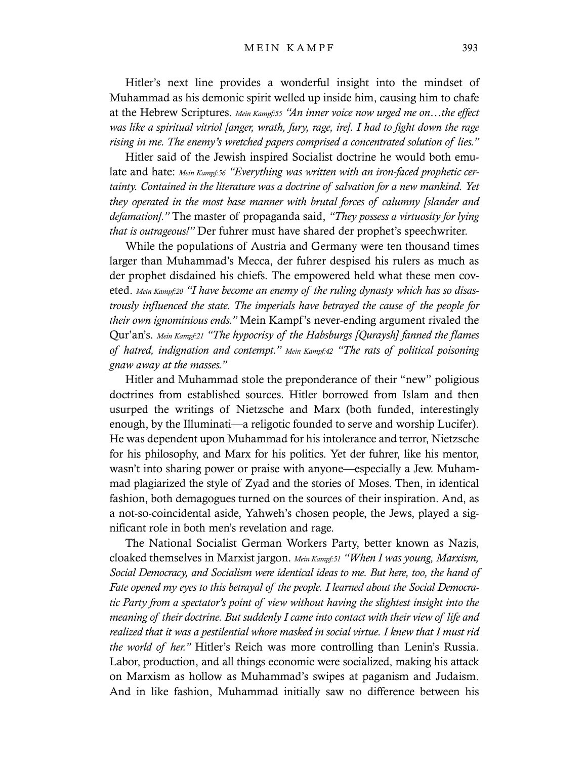Hitler's next line provides a wonderful insight into the mindset of Muhammad as his demonic spirit welled up inside him, causing him to chafe at the Hebrew Scriptures. *Mein Kampf:55 "An inner voice now urged me on…the effect was like a spiritual vitriol [anger, wrath, fury, rage, ire]. I had to fight down the rage rising in me. The enemy's wretched papers comprised a concentrated solution of lies."*

Hitler said of the Jewish inspired Socialist doctrine he would both emulate and hate: *Mein Kampf:56 "Everything was written with an iron-faced prophetic certainty. Contained in the literature was a doctrine of salvation for a new mankind. Yet they operated in the most base manner with brutal forces of calumny [slander and defamation]."* The master of propaganda said, *"They possess a virtuosity for lying that is outrageous!"* Der fuhrer must have shared der prophet's speechwriter.

While the populations of Austria and Germany were ten thousand times larger than Muhammad's Mecca, der fuhrer despised his rulers as much as der prophet disdained his chiefs. The empowered held what these men coveted. *Mein Kampf:20 "I have become an enemy of the ruling dynasty which has so disastrously influenced the state. The imperials have betrayed the cause of the people for their own ignominious ends."* Mein Kampf's never-ending argument rivaled the Qur'an's. *Mein Kampf:21 "The hypocrisy of the Habsburgs [Quraysh] fanned the flames of hatred, indignation and contempt." Mein Kampf:42 "The rats of political poisoning gnaw away at the masses."*

Hitler and Muhammad stole the preponderance of their "new" poligious doctrines from established sources. Hitler borrowed from Islam and then usurped the writings of Nietzsche and Marx (both funded, interestingly enough, by the Illuminati—a religotic founded to serve and worship Lucifer). He was dependent upon Muhammad for his intolerance and terror, Nietzsche for his philosophy, and Marx for his politics. Yet der fuhrer, like his mentor, wasn't into sharing power or praise with anyone—especially a Jew. Muhammad plagiarized the style of Zyad and the stories of Moses. Then, in identical fashion, both demagogues turned on the sources of their inspiration. And, as a not-so-coincidental aside, Yahweh's chosen people, the Jews, played a significant role in both men's revelation and rage.

The National Socialist German Workers Party, better known as Nazis, cloaked themselves in Marxist jargon. *Mein Kampf:51 "When I was young, Marxism, Social Democracy, and Socialism were identical ideas to me. But here, too, the hand of Fate opened my eyes to this betrayal of the people. I learned about the Social Democratic Party from a spectator's point of view without having the slightest insight into the meaning of their doctrine. But suddenly I came into contact with their view of life and realized that it was a pestilential whore masked in social virtue. I knew that I must rid the world of her."* Hitler's Reich was more controlling than Lenin's Russia. Labor, production, and all things economic were socialized, making his attack on Marxism as hollow as Muhammad's swipes at paganism and Judaism. And in like fashion, Muhammad initially saw no difference between his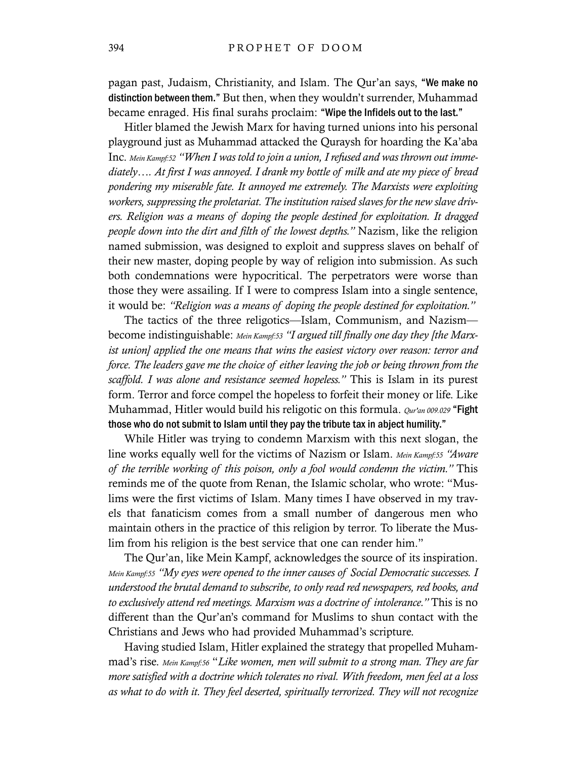pagan past, Judaism, Christianity, and Islam. The Qur'an says, "We make no distinction between them." But then, when they wouldn't surrender, Muhammad became enraged. His final surahs proclaim: "Wipe the Infidels out to the last."

Hitler blamed the Jewish Marx for having turned unions into his personal playground just as Muhammad attacked the Quraysh for hoarding the Ka'aba Inc. *Mein Kampf:52 "When I was told to join a union, I refused and was thrown out immediately…. At first I was annoyed. I drank my bottle of milk and ate my piece of bread pondering my miserable fate. It annoyed me extremely. The Marxists were exploiting workers, suppressing the proletariat. The institution raised slaves for the new slave drivers. Religion was a means of doping the people destined for exploitation. It dragged people down into the dirt and filth of the lowest depths."* Nazism, like the religion named submission, was designed to exploit and suppress slaves on behalf of their new master, doping people by way of religion into submission. As such both condemnations were hypocritical. The perpetrators were worse than those they were assailing. If I were to compress Islam into a single sentence, it would be: *"Religion was a means of doping the people destined for exploitation."*

The tactics of the three religotics—Islam, Communism, and Nazism become indistinguishable: *Mein Kampf:53 "I argued till finally one day they [the Marxist union] applied the one means that wins the easiest victory over reason: terror and force. The leaders gave me the choice of either leaving the job or being thrown from the scaffold. I was alone and resistance seemed hopeless."* This is Islam in its purest form. Terror and force compel the hopeless to forfeit their money or life. Like Muhammad, Hitler would build his religotic on this formula. *Qur'an 009.029* "Fight those who do not submit to Islam until they pay the tribute tax in abject humility."

While Hitler was trying to condemn Marxism with this next slogan, the line works equally well for the victims of Nazism or Islam. *Mein Kampf:55 "Aware of the terrible working of this poison, only a fool would condemn the victim."* This reminds me of the quote from Renan, the Islamic scholar, who wrote: "Muslims were the first victims of Islam. Many times I have observed in my travels that fanaticism comes from a small number of dangerous men who maintain others in the practice of this religion by terror. To liberate the Muslim from his religion is the best service that one can render him."

The Qur'an, like Mein Kampf, acknowledges the source of its inspiration. *Mein Kampf:55 "My eyes were opened to the inner causes of Social Democratic successes. I understood the brutal demand to subscribe, to only read red newspapers, red books, and to exclusively attend red meetings. Marxism was a doctrine of intolerance."* This is no different than the Qur'an's command for Muslims to shun contact with the Christians and Jews who had provided Muhammad's scripture.

Having studied Islam, Hitler explained the strategy that propelled Muhammad's rise. *Mein Kampf:56* "*Like women, men will submit to a strong man. They are far more satisfied with a doctrine which tolerates no rival. With freedom, men feel at a loss as what to do with it. They feel deserted, spiritually terrorized. They will not recognize*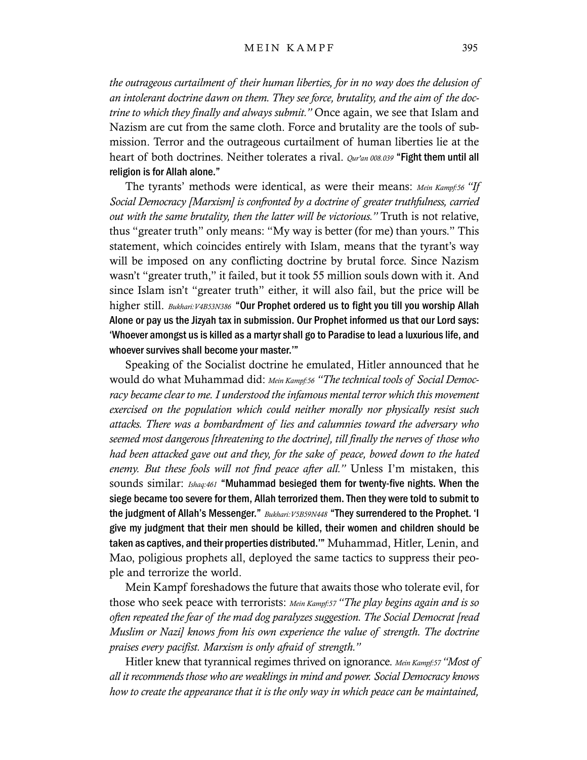## MEIN KAMPF 395

*the outrageous curtailment of their human liberties, for in no way does the delusion of an intolerant doctrine dawn on them. They see force, brutality, and the aim of the doctrine to which they finally and always submit."* Once again, we see that Islam and Nazism are cut from the same cloth. Force and brutality are the tools of submission. Terror and the outrageous curtailment of human liberties lie at the heart of both doctrines. Neither tolerates a rival. *Qur'an 008.039* "Fight them until all religion is for Allah alone."

The tyrants' methods were identical, as were their means: *Mein Kampf:56 "If Social Democracy [Marxism] is confronted by a doctrine of greater truthfulness, carried out with the same brutality, then the latter will be victorious."* Truth is not relative, thus "greater truth" only means: "My way is better (for me) than yours." This statement, which coincides entirely with Islam, means that the tyrant's way will be imposed on any conflicting doctrine by brutal force. Since Nazism wasn't "greater truth," it failed, but it took 55 million souls down with it. And since Islam isn't "greater truth" either, it will also fail, but the price will be higher still. *Bukhari:V4B53N386* "Our Prophet ordered us to fight you till you worship Allah Alone or pay us the Jizyah tax in submission. Our Prophet informed us that our Lord says: 'Whoever amongst us is killed as a martyr shall go to Paradise to lead a luxurious life, and whoever survives shall become your master.'"

Speaking of the Socialist doctrine he emulated, Hitler announced that he would do what Muhammad did: *Mein Kampf:56 "The technical tools of Social Democracy became clear to me. I understood the infamous mental terror which this movement exercised on the population which could neither morally nor physically resist such attacks. There was a bombardment of lies and calumnies toward the adversary who seemed most dangerous [threatening to the doctrine], till finally the nerves of those who had been attacked gave out and they, for the sake of peace, bowed down to the hated enemy. But these fools will not find peace after all."* Unless I'm mistaken, this sounds similar: *Ishaq:461* "Muhammad besieged them for twenty-five nights. When the siege became too severe for them, Allah terrorized them. Then they were told to submit to the judgment of Allah's Messenger." *Bukhari:V5B59N448* "They surrendered to the Prophet. 'I give my judgment that their men should be killed, their women and children should be taken as captives, and their properties distributed.'" Muhammad, Hitler, Lenin, and Mao, poligious prophets all, deployed the same tactics to suppress their people and terrorize the world.

Mein Kampf foreshadows the future that awaits those who tolerate evil, for those who seek peace with terrorists: *Mein Kampf:57 "The play begins again and is so often repeated the fear of the mad dog paralyzes suggestion. The Social Democrat [read Muslim or Nazi] knows from his own experience the value of strength. The doctrine praises every pacifist. Marxism is only afraid of strength."*

Hitler knew that tyrannical regimes thrived on ignorance. *Mein Kampf:57 "Most of all it recommends those who are weaklings in mind and power. Social Democracy knows how to create the appearance that it is the only way in which peace can be maintained,*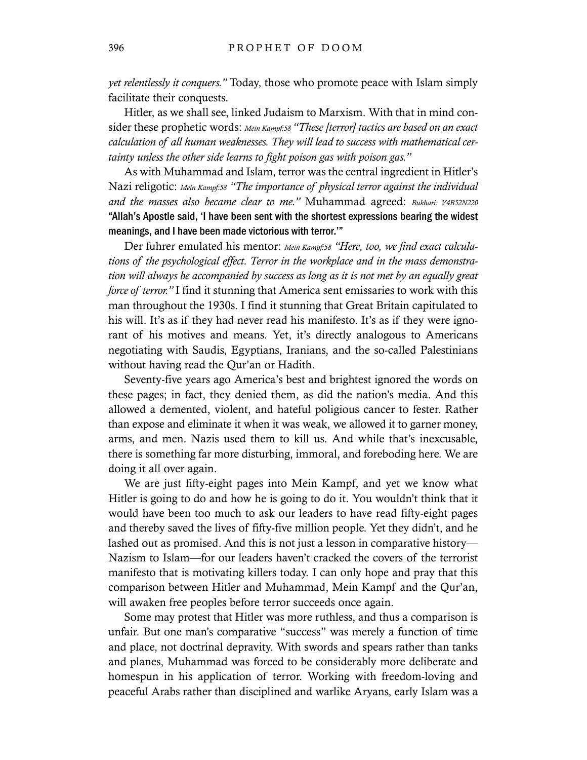*yet relentlessly it conquers."* Today, those who promote peace with Islam simply facilitate their conquests.

Hitler, as we shall see, linked Judaism to Marxism. With that in mind consider these prophetic words: *Mein Kampf:58 "These [terror] tactics are based on an exact calculation of all human weaknesses. They will lead to success with mathematical certainty unless the other side learns to fight poison gas with poison gas."*

As with Muhammad and Islam, terror was the central ingredient in Hitler's Nazi religotic: *Mein Kampf:58 "The importance of physical terror against the individual and the masses also became clear to me."* Muhammad agreed: *Bukhari: V4B52N220* "Allah's Apostle said, 'I have been sent with the shortest expressions bearing the widest meanings, and I have been made victorious with terror.'"

Der fuhrer emulated his mentor: *Mein Kampf:58 "Here, too, we find exact calculations of the psychological effect. Terror in the workplace and in the mass demonstration will always be accompanied by success as long as it is not met by an equally great force of terror."* I find it stunning that America sent emissaries to work with this man throughout the 1930s. I find it stunning that Great Britain capitulated to his will. It's as if they had never read his manifesto. It's as if they were ignorant of his motives and means. Yet, it's directly analogous to Americans negotiating with Saudis, Egyptians, Iranians, and the so-called Palestinians without having read the Qur'an or Hadith.

Seventy-five years ago America's best and brightest ignored the words on these pages; in fact, they denied them, as did the nation's media. And this allowed a demented, violent, and hateful poligious cancer to fester. Rather than expose and eliminate it when it was weak, we allowed it to garner money, arms, and men. Nazis used them to kill us. And while that's inexcusable, there is something far more disturbing, immoral, and foreboding here. We are doing it all over again.

We are just fifty-eight pages into Mein Kampf, and yet we know what Hitler is going to do and how he is going to do it. You wouldn't think that it would have been too much to ask our leaders to have read fifty-eight pages and thereby saved the lives of fifty-five million people. Yet they didn't, and he lashed out as promised. And this is not just a lesson in comparative history— Nazism to Islam—for our leaders haven't cracked the covers of the terrorist manifesto that is motivating killers today. I can only hope and pray that this comparison between Hitler and Muhammad, Mein Kampf and the Qur'an, will awaken free peoples before terror succeeds once again.

Some may protest that Hitler was more ruthless, and thus a comparison is unfair. But one man's comparative "success" was merely a function of time and place, not doctrinal depravity. With swords and spears rather than tanks and planes, Muhammad was forced to be considerably more deliberate and homespun in his application of terror. Working with freedom-loving and peaceful Arabs rather than disciplined and warlike Aryans, early Islam was a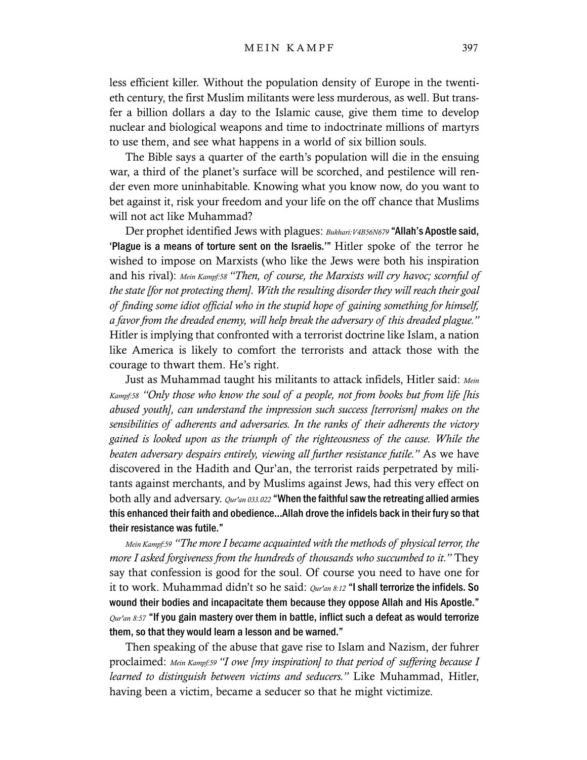less efficient killer. Without the population density of Europe in the twentieth century, the first Muslim militants were less murderous, as well. But transfer a billion dollars a day to the Islamic cause, give them time to develop nuclear and biological weapons and time to indoctrinate millions of martyrs to use them, and see what happens in a world of six billion souls.

The Bible says a quarter of the earth's population will die in the ensuing war, a third of the planet's surface will be scorched, and pestilence will render even more uninhabitable. Knowing what you know now, do you want to bet against it, risk your freedom and your life on the off chance that Muslims will not act like Muhammad?

Der prophet identified Jews with plagues: *Bukhari:V4B56N679* "Allah's Apostle said, 'Plague is a means of torture sent on the Israelis.'" Hitler spoke of the terror he wished to impose on Marxists (who like the Jews were both his inspiration and his rival): *Mein Kampf:58 "Then, of course, the Marxists will cry havoc; scornful of the state [for not protecting them]. With the resulting disorder they will reach their goal of finding some idiot official who in the stupid hope of gaining something for himself, a favor from the dreaded enemy, will help break the adversary of this dreaded plague."* Hitler is implying that confronted with a terrorist doctrine like Islam, a nation like America is likely to comfort the terrorists and attack those with the courage to thwart them. He's right.

Just as Muhammad taught his militants to attack infidels, Hitler said: *Mein Kampf:58 "Only those who know the soul of a people, not from books but from life [his abused youth], can understand the impression such success [terrorism] makes on the sensibilities of adherents and adversaries. In the ranks of their adherents the victory gained is looked upon as the triumph of the righteousness of the cause. While the beaten adversary despairs entirely, viewing all further resistance futile."* As we have discovered in the Hadith and Qur'an, the terrorist raids perpetrated by militants against merchants, and by Muslims against Jews, had this very effect on both ally and adversary. *Qur'an 033.022* "When the faithful saw the retreating allied armies this enhanced their faith and obedience...Allah drove the infidels back in their fury so that their resistance was futile."

*Mein Kampf:59 "The more I became acquainted with the methods of physical terror, the more I asked forgiveness from the hundreds of thousands who succumbed to it."* They say that confession is good for the soul. Of course you need to have one for it to work. Muhammad didn't so he said: *Qur'an 8:12* "I shall terrorize the infidels. So wound their bodies and incapacitate them because they oppose Allah and His Apostle." *Qur'an 8:57* "If you gain mastery over them in battle, inflict such a defeat as would terrorize them, so that they would learn a lesson and be warned."

Then speaking of the abuse that gave rise to Islam and Nazism, der fuhrer proclaimed: *Mein Kampf:59 "I owe [my inspiration] to that period of suffering because I learned to distinguish between victims and seducers."* Like Muhammad, Hitler, having been a victim, became a seducer so that he might victimize.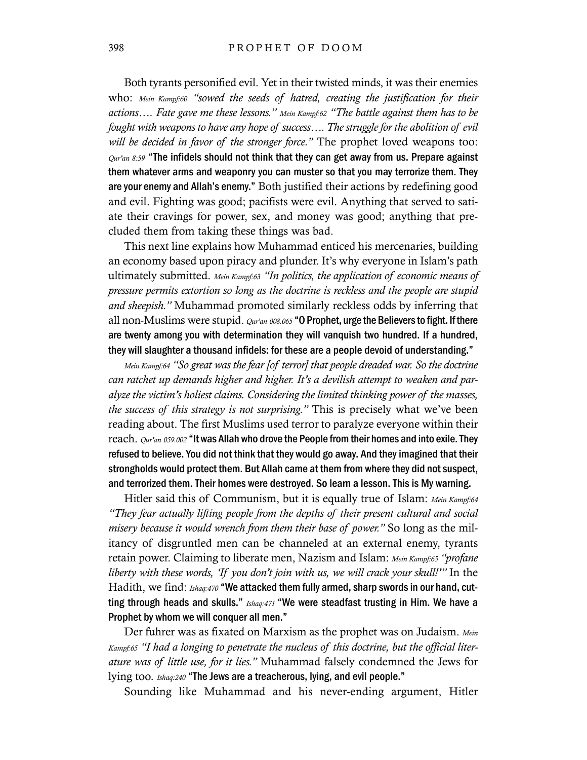Both tyrants personified evil. Yet in their twisted minds, it was their enemies who: *Mein Kampf:60 "sowed the seeds of hatred, creating the justification for their actions…. Fate gave me these lessons." Mein Kampf:62 "The battle against them has to be fought with weapons to have any hope of success…. The struggle for the abolition of evil will be decided in favor of the stronger force."* The prophet loved weapons too: *Qur'an 8:59* "The infidels should not think that they can get away from us. Prepare against them whatever arms and weaponry you can muster so that you may terrorize them. They are your enemy and Allah's enemy." Both justified their actions by redefining good and evil. Fighting was good; pacifists were evil. Anything that served to satiate their cravings for power, sex, and money was good; anything that precluded them from taking these things was bad.

This next line explains how Muhammad enticed his mercenaries, building an economy based upon piracy and plunder. It's why everyone in Islam's path ultimately submitted. *Mein Kampf:63 "In politics, the application of economic means of pressure permits extortion so long as the doctrine is reckless and the people are stupid and sheepish."* Muhammad promoted similarly reckless odds by inferring that all non-Muslims were stupid. *Qur'an 008.065* "O Prophet, urge the Believers to fight. If there are twenty among you with determination they will vanquish two hundred. If a hundred, they will slaughter a thousand infidels: for these are a people devoid of understanding."

*Mein Kampf:64 "So great was the fear [of terror] that people dreaded war. So the doctrine can ratchet up demands higher and higher. It's a devilish attempt to weaken and paralyze the victim's holiest claims. Considering the limited thinking power of the masses, the success of this strategy is not surprising."* This is precisely what we've been reading about. The first Muslims used terror to paralyze everyone within their reach. *Qur'an 059.002* "It was Allah who drove the People from their homes and into exile. They refused to believe. You did not think that they would go away. And they imagined that their strongholds would protect them. But Allah came at them from where they did not suspect, and terrorized them. Their homes were destroyed. So learn a lesson. This is My warning.

Hitler said this of Communism, but it is equally true of Islam: *Mein Kampf:64 "They fear actually lifting people from the depths of their present cultural and social misery because it would wrench from them their base of power."* So long as the militancy of disgruntled men can be channeled at an external enemy, tyrants retain power. Claiming to liberate men, Nazism and Islam: *Mein Kampf:65 "profane liberty with these words, 'If you don't join with us, we will crack your skull!'"* In the Hadith, we find: *Ishaq:470* "We attacked them fully armed, sharp swords in our hand, cutting through heads and skulls." *Ishaq:471* "We were steadfast trusting in Him. We have a Prophet by whom we will conquer all men."

Der fuhrer was as fixated on Marxism as the prophet was on Judaism. *Mein Kampf:65 "I had a longing to penetrate the nucleus of this doctrine, but the official literature was of little use, for it lies."* Muhammad falsely condemned the Jews for lying too. *Ishaq:240* "The Jews are a treacherous, lying, and evil people."

Sounding like Muhammad and his never-ending argument, Hitler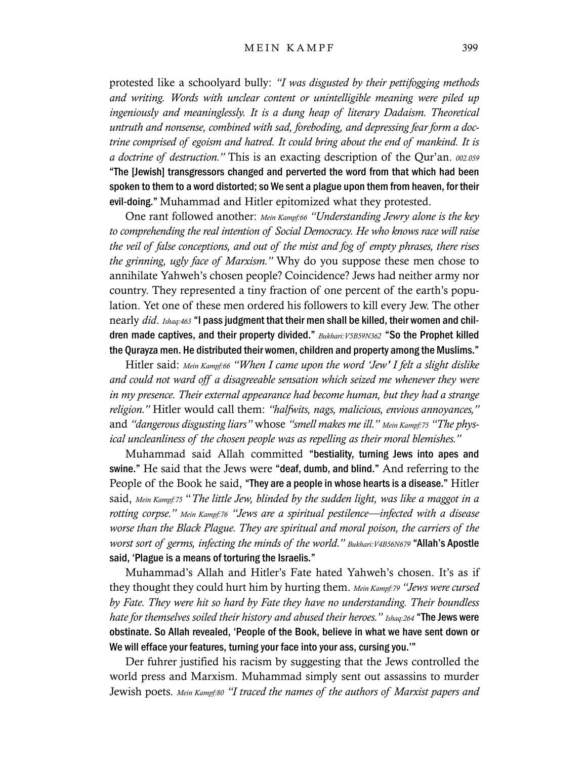## MEIN KAMPF 399

protested like a schoolyard bully: *"I was disgusted by their pettifogging methods and writing. Words with unclear content or unintelligible meaning were piled up ingeniously and meaninglessly. It is a dung heap of literary Dadaism. Theoretical untruth and nonsense, combined with sad, foreboding, and depressing fear form a doctrine comprised of egoism and hatred. It could bring about the end of mankind. It is a doctrine of destruction."* This is an exacting description of the Qur'an. *002.059* "The [Jewish] transgressors changed and perverted the word from that which had been spoken to them to a word distorted; so We sent a plague upon them from heaven, for their evil-doing." Muhammad and Hitler epitomized what they protested.

One rant followed another: *Mein Kampf:66 "Understanding Jewry alone is the key to comprehending the real intention of Social Democracy. He who knows race will raise the veil of false conceptions, and out of the mist and fog of empty phrases, there rises the grinning, ugly face of Marxism."* Why do you suppose these men chose to annihilate Yahweh's chosen people? Coincidence? Jews had neither army nor country. They represented a tiny fraction of one percent of the earth's population. Yet one of these men ordered his followers to kill every Jew. The other nearly *did*. *Ishaq:463* "I pass judgment that their men shall be killed, their women and children made captives, and their property divided." **Bukhari:V5B59N362** "So the Prophet killed the Qurayza men. He distributed their women, children and property among the Muslims."

Hitler said: *Mein Kampf:66 "When I came upon the word 'Jew' I felt a slight dislike and could not ward off a disagreeable sensation which seized me whenever they were in my presence. Their external appearance had become human, but they had a strange religion."* Hitler would call them: *"halfwits, nags, malicious, envious annoyances,"* and *"dangerous disgusting liars"* whose *"smell makes me ill." Mein Kampf:75 "The physical uncleanliness of the chosen people was as repelling as their moral blemishes."*

Muhammad said Allah committed "bestiality, turning Jews into apes and swine." He said that the Jews were "deaf, dumb, and blind." And referring to the People of the Book he said, "They are a people in whose hearts is a disease." Hitler said, *Mein Kampf:75* "*The little Jew, blinded by the sudden light, was like a maggot in a rotting corpse." Mein Kampf:76 "Jews are a spiritual pestilence—infected with a disease worse than the Black Plague. They are spiritual and moral poison, the carriers of the worst sort of germs, infecting the minds of the world." Bukhari:V4B56N679* "Allah's Apostle said, 'Plague is a means of torturing the Israelis."

Muhammad's Allah and Hitler's Fate hated Yahweh's chosen. It's as if they thought they could hurt him by hurting them. *Mein Kampf:79 "Jews were cursed by Fate. They were hit so hard by Fate they have no understanding. Their boundless hate for themselves soiled their history and abused their heroes." Ishaq:264* "The Jews were obstinate. So Allah revealed, 'People of the Book, believe in what we have sent down or We will efface your features, turning your face into your ass, cursing you.'"

Der fuhrer justified his racism by suggesting that the Jews controlled the world press and Marxism. Muhammad simply sent out assassins to murder Jewish poets. *Mein Kampf:80 "I traced the names of the authors of Marxist papers and*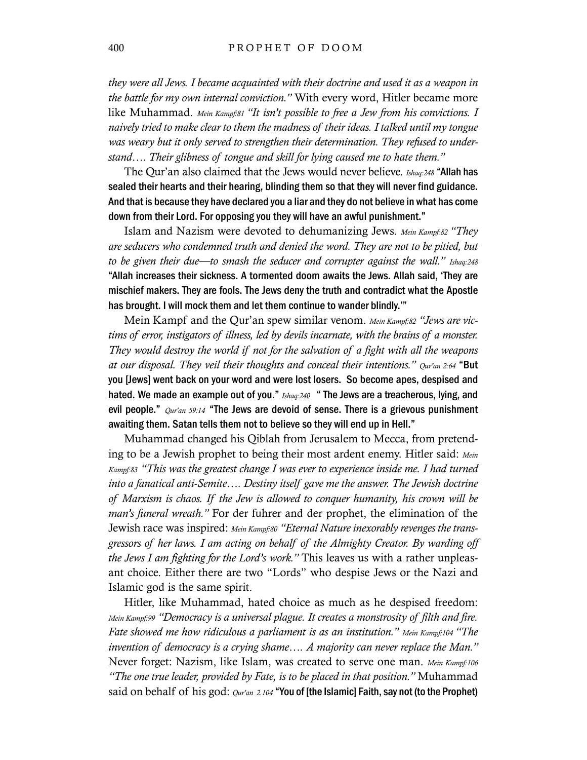*they were all Jews. I became acquainted with their doctrine and used it as a weapon in the battle for my own internal conviction."* With every word, Hitler became more like Muhammad. *Mein Kampf:81 "It isn't possible to free a Jew from his convictions. I naively tried to make clear to them the madness of their ideas. I talked until my tongue was weary but it only served to strengthen their determination. They refused to understand…. Their glibness of tongue and skill for lying caused me to hate them."*

The Qur'an also claimed that the Jews would never believe. *Ishaq:248* "Allah has sealed their hearts and their hearing, blinding them so that they will never find guidance. And that is because they have declared you a liar and they do not believe in what has come down from their Lord. For opposing you they will have an awful punishment."

Islam and Nazism were devoted to dehumanizing Jews. *Mein Kampf:82 "They are seducers who condemned truth and denied the word. They are not to be pitied, but to be given their due—to smash the seducer and corrupter against the wall." Ishaq:248* "Allah increases their sickness. A tormented doom awaits the Jews. Allah said, 'They are mischief makers. They are fools. The Jews deny the truth and contradict what the Apostle has brought. I will mock them and let them continue to wander blindly.'"

Mein Kampf and the Qur'an spew similar venom. *Mein Kampf:82 "Jews are victims of error, instigators of illness, led by devils incarnate, with the brains of a monster. They would destroy the world if not for the salvation of a fight with all the weapons at our disposal. They veil their thoughts and conceal their intentions." Qur'an 2:64* "But you [Jews] went back on your word and were lost losers. So become apes, despised and hated. We made an example out of you." *Ishaq:240* " The Jews are a treacherous, lying, and evil people." *Qur'an 59:14* "The Jews are devoid of sense. There is a grievous punishment awaiting them. Satan tells them not to believe so they will end up in Hell."

Muhammad changed his Qiblah from Jerusalem to Mecca, from pretending to be a Jewish prophet to being their most ardent enemy. Hitler said: *Mein Kampf:83 "This was the greatest change I was ever to experience inside me. I had turned into a fanatical anti-Semite…. Destiny itself gave me the answer. The Jewish doctrine of Marxism is chaos. If the Jew is allowed to conquer humanity, his crown will be man's funeral wreath."* For der fuhrer and der prophet, the elimination of the Jewish race was inspired: *Mein Kampf:80 "Eternal Nature inexorably revenges the transgressors of her laws. I am acting on behalf of the Almighty Creator. By warding off the Jews I am fighting for the Lord's work."* This leaves us with a rather unpleasant choice. Either there are two "Lords" who despise Jews or the Nazi and Islamic god is the same spirit.

Hitler, like Muhammad, hated choice as much as he despised freedom: *Mein Kampf:99 "Democracy is a universal plague. It creates a monstrosity of filth and fire. Fate showed me how ridiculous a parliament is as an institution." Mein Kampf:104 "The invention of democracy is a crying shame…. A majority can never replace the Man."* Never forget: Nazism, like Islam, was created to serve one man. *Mein Kampf:106 "The one true leader, provided by Fate, is to be placed in that position."* Muhammad said on behalf of his god: *Qur'an 2.104* "You of [the Islamic] Faith, say not (to the Prophet)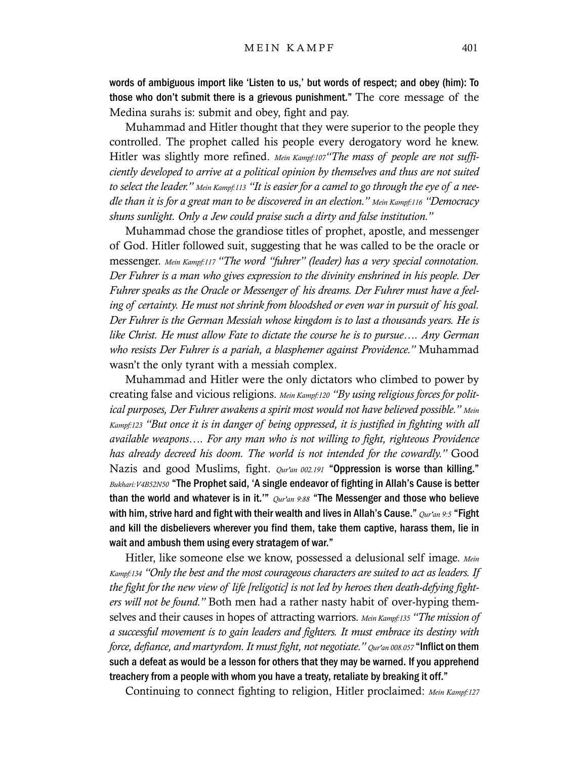words of ambiguous import like 'Listen to us,' but words of respect; and obey (him): To those who don't submit there is a grievous punishment." The core message of the Medina surahs is: submit and obey, fight and pay.

Muhammad and Hitler thought that they were superior to the people they controlled. The prophet called his people every derogatory word he knew. Hitler was slightly more refined. *Mein Kampf:107"The mass of people are not sufficiently developed to arrive at a political opinion by themselves and thus are not suited to select the leader." Mein Kampf:113 "It is easier for a camel to go through the eye of a needle than it is for a great man to be discovered in an election." Mein Kampf:116 "Democracy shuns sunlight. Only a Jew could praise such a dirty and false institution."*

Muhammad chose the grandiose titles of prophet, apostle, and messenger of God. Hitler followed suit, suggesting that he was called to be the oracle or messenger. *Mein Kampf:117 "The word "fuhrer" (leader) has a very special connotation. Der Fuhrer is a man who gives expression to the divinity enshrined in his people. Der Fuhrer speaks as the Oracle or Messenger of his dreams. Der Fuhrer must have a feeling of certainty. He must not shrink from bloodshed or even war in pursuit of his goal. Der Fuhrer is the German Messiah whose kingdom is to last a thousands years. He is like Christ. He must allow Fate to dictate the course he is to pursue…. Any German who resists Der Fuhrer is a pariah, a blasphemer against Providence."* Muhammad wasn't the only tyrant with a messiah complex.

Muhammad and Hitler were the only dictators who climbed to power by creating false and vicious religions. *Mein Kampf:120 "By using religious forces for political purposes, Der Fuhrer awakens a spirit most would not have believed possible." Mein Kampf:123 "But once it is in danger of being oppressed, it is justified in fighting with all available weapons…. For any man who is not willing to fight, righteous Providence has already decreed his doom. The world is not intended for the cowardly."* Good Nazis and good Muslims, fight. *Qur'an 002.191* "Oppression is worse than killing." *Bukhari:V4B52N50* "The Prophet said, 'A single endeavor of fighting in Allah's Cause is better than the world and whatever is in it.'" *Qur'an 9:88* "The Messenger and those who believe with him, strive hard and fight with their wealth and lives in Allah's Cause." *Qur'an 9:5* "Fight and kill the disbelievers wherever you find them, take them captive, harass them, lie in wait and ambush them using every stratagem of war."

Hitler, like someone else we know, possessed a delusional self image. *Mein Kampf:134 "Only the best and the most courageous characters are suited to act as leaders. If the fight for the new view of life [religotic] is not led by heroes then death-defying fighters will not be found."* Both men had a rather nasty habit of over-hyping themselves and their causes in hopes of attracting warriors. *Mein Kampf:135 "The mission of a successful movement is to gain leaders and fighters. It must embrace its destiny with force, defiance, and martyrdom. It must fight, not negotiate." Qur'an 008.057* "Inflict on them such a defeat as would be a lesson for others that they may be warned. If you apprehend treachery from a people with whom you have a treaty, retaliate by breaking it off."

Continuing to connect fighting to religion, Hitler proclaimed: *Mein Kampf:127*